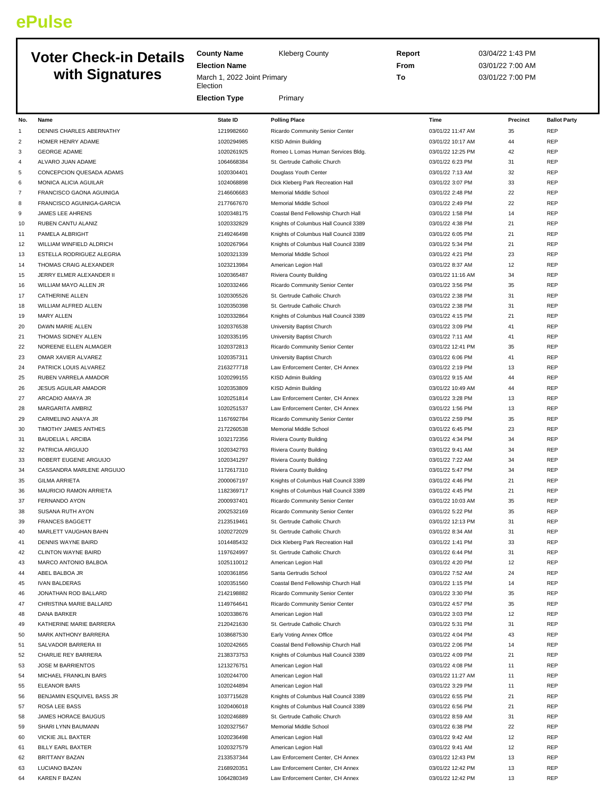## **ePulse**

## **Voter Check with Signature**

|                | <b>Voter Check-in Details</b><br>with Signatures | <b>County Name</b><br><b>Election Name</b><br>March 1, 2022 Joint Primary<br>Election | <b>Kleberg County</b>                 | Report<br>From<br>To | 03/04/22 1:43 PM<br>03/01/22 7:00 AM<br>03/01/22 7:00 PM |                     |
|----------------|--------------------------------------------------|---------------------------------------------------------------------------------------|---------------------------------------|----------------------|----------------------------------------------------------|---------------------|
|                |                                                  | <b>Election Type</b>                                                                  | Primary                               |                      |                                                          |                     |
| No.            | <b>Name</b>                                      | <b>State ID</b>                                                                       | <b>Polling Place</b>                  | Time                 | Precinct                                                 | <b>Ballot Party</b> |
| $\mathbf{1}$   | DENNIS CHARLES ABERNATHY                         | 1219982660                                                                            | Ricardo Community Senior Center       | 03/01/22 11:47 AM    | 35                                                       | <b>REP</b>          |
| $\overline{c}$ | HOMER HENRY ADAME                                | 1020294985                                                                            | KISD Admin Building                   | 03/01/22 10:17 AM    | 44                                                       | REP                 |
| 3              | <b>GEORGE ADAME</b>                              | 1020261925                                                                            | Romeo L Lomas Human Services Bldg.    | 03/01/22 12:25 PM    | 42                                                       | <b>REP</b>          |
| $\overline{4}$ | ALVARO JUAN ADAME                                | 1064668384                                                                            | St. Gertrude Catholic Church          | 03/01/22 6:23 PM     | 31                                                       | <b>REP</b>          |
| 5              | CONCEPCION QUESADA ADAMS                         | 1020304401                                                                            | Douglass Youth Center                 | 03/01/22 7:13 AM     | 32                                                       | <b>REP</b>          |
| 6              | MONICA ALICIA AGUILAR                            | 1024068898                                                                            | Dick Kleberg Park Recreation Hall     | 03/01/22 3:07 PM     | 33                                                       | <b>REP</b>          |
| $\overline{7}$ | FRANCISCO GAONA AGUINIGA                         | 2146606683                                                                            | Memorial Middle School                | 03/01/22 2:48 PM     | 22                                                       | <b>REP</b>          |
| 8              | FRANCISCO AGUINIGA-GARCIA                        | 2177667670                                                                            | Memorial Middle School                | 03/01/22 2:49 PM     | 22                                                       | <b>REP</b>          |
| 9              | JAMES LEE AHRENS                                 | 1020348175                                                                            | Coastal Bend Fellowship Church Hall   | 03/01/22 1:58 PM     | 14                                                       | <b>REP</b>          |
| 10             | RUBEN CANTU ALANIZ                               | 1020332829                                                                            | Knights of Columbus Hall Council 3389 | 03/01/22 4:38 PM     | 21                                                       | <b>REP</b>          |
| 11             | PAMELA ALBRIGHT                                  | 2149246498                                                                            | Knights of Columbus Hall Council 3389 | 03/01/22 6:05 PM     | 21                                                       | <b>REP</b>          |
| 12             | WILLIAM WINFIELD ALDRICH                         | 1020267964                                                                            | Knights of Columbus Hall Council 3389 | 03/01/22 5:34 PM     | 21                                                       | <b>REP</b>          |
| 13             | ESTELLA RODRIGUEZ ALEGRIA                        | 1020321339                                                                            | Memorial Middle School                | 03/01/22 4:21 PM     | 23                                                       | <b>REP</b>          |
| 14             | THOMAS CRAIG ALEXANDER                           | 1023213984                                                                            | American Legion Hall                  | 03/01/22 8:37 AM     | 12                                                       | <b>REP</b>          |
| 15             | JERRY ELMER ALEXANDER II                         | 1020365487                                                                            | <b>Riviera County Building</b>        | 03/01/22 11:16 AM    | 34                                                       | <b>REP</b>          |
| 16             | WILLIAM MAYO ALLEN JR                            | 1020332466                                                                            | Ricardo Community Senior Center       | 03/01/22 3:56 PM     | 35                                                       | <b>REP</b>          |
| 17             | <b>CATHERINE ALLEN</b>                           | 1020305526                                                                            | St. Gertrude Catholic Church          | 03/01/22 2:38 PM     | 31                                                       | <b>REP</b>          |
| 18             | WILLIAM ALFRED ALLEN                             | 1020350398                                                                            | St. Gertrude Catholic Church          | 03/01/22 2:38 PM     | 31                                                       | <b>REP</b>          |
| 19             | <b>MARY ALLEN</b>                                | 1020332864                                                                            | Knights of Columbus Hall Council 3389 | 03/01/22 4:15 PM     | 21                                                       | <b>REP</b>          |
| 20             | <b>DAWN MARIE ALLEN</b>                          | 1020376538                                                                            | University Baptist Church             | 03/01/22 3:09 PM     | 41                                                       | <b>REP</b>          |
| 21             | THOMAS SIDNEY ALLEN                              | 1020335195                                                                            | University Baptist Church             | 03/01/22 7:11 AM     | 41                                                       | <b>REP</b>          |
| 22             | NOREENE ELLEN ALMAGER                            | 1020372813                                                                            | Ricardo Community Senior Center       | 03/01/22 12:41 PM    | 35                                                       | <b>REP</b>          |
| 23             | OMAR XAVIER ALVAREZ                              | 1020357311                                                                            | University Baptist Church             | 03/01/22 6:06 PM     | 41                                                       | <b>REP</b>          |
| 24             | PATRICK LOUIS ALVAREZ                            | 2163277718                                                                            | Law Enforcement Center, CH Annex      | 03/01/22 2:19 PM     | 13                                                       | <b>REP</b>          |
| 25             | RUBEN VARRELA AMADOR                             | 1020299155                                                                            | KISD Admin Building                   | 03/01/22 9:15 AM     | 44                                                       | REP                 |
| 26             | <b>JESUS AGUILAR AMADOR</b>                      | 1020353809                                                                            | <b>KISD Admin Building</b>            | 03/01/22 10:49 AM    | 44                                                       | <b>REP</b>          |
| 27             | ARCADIO AMAYA JR                                 | 1020251814                                                                            | Law Enforcement Center, CH Annex      | 03/01/22 3:28 PM     | 13                                                       | REP                 |
| 28             | MARGARITA AMBRIZ                                 | 1020251537                                                                            | Law Enforcement Center, CH Annex      | 03/01/22 1:56 PM     | 13                                                       | <b>REP</b>          |
| 29             | CARMELINO ANAYA JR                               | 1167692784                                                                            | Ricardo Community Senior Center       | 03/01/22 2:59 PM     | 35                                                       | <b>REP</b>          |
| 30             | TIMOTHY JAMES ANTHES                             | 2172260538                                                                            | Memorial Middle School                | 03/01/22 6:45 PM     | 23                                                       | <b>REP</b>          |
| 31             | <b>BAUDELIA L ARCIBA</b>                         | 1032172356                                                                            | Riviera County Building               | 03/01/22 4:34 PM     | 34                                                       | <b>REP</b>          |
| 32             | PATRICIA ARGUIJO                                 | 1020342793                                                                            | <b>Riviera County Building</b>        | 03/01/22 9:41 AM     | 34                                                       | <b>REP</b>          |
| 33             | ROBERT EUGENE ARGUIJO                            | 1020341297                                                                            | Riviera County Building               | 03/01/22 7:22 AM     | 34                                                       | <b>REP</b>          |
| 34             | CASSANDRA MARLENE ARGUIJO                        | 1172617310                                                                            | <b>Riviera County Building</b>        | 03/01/22 5:47 PM     | 34                                                       | <b>REP</b>          |
| 35             | <b>GILMA ARRIETA</b>                             | 2000067197                                                                            | Knights of Columbus Hall Council 3389 | 03/01/22 4:46 PM     | 21                                                       | <b>REP</b>          |
| 36             | MAURICIO RAMON ARRIETA                           | 1182369717                                                                            | Knights of Columbus Hall Council 3389 | 03/01/22 4:45 PM     | 21                                                       | <b>REP</b>          |
| 37             | FERNANDO AYON                                    | 2000937401                                                                            | Ricardo Community Senior Center       | 03/01/22 10:03 AM    | 35                                                       | <b>REP</b>          |
| 38             | SUSANA RUTH AYON                                 | 2002532169                                                                            | Ricardo Community Senior Center       | 03/01/22 5:22 PM     | 35                                                       | <b>REP</b>          |
| 39             | <b>FRANCES BAGGETT</b>                           | 2123519461                                                                            | St. Gertrude Catholic Church          | 03/01/22 12:13 PM    | 31                                                       | <b>REP</b>          |
| 40             | MARLETT VAUGHAN BAHN                             | 1020272029                                                                            | St. Gertrude Catholic Church          | 03/01/22 8:34 AM     | 31                                                       | <b>REP</b>          |
| 41             | <b>DENNIS WAYNE BAIRD</b>                        | 1014485432                                                                            | Dick Kleberg Park Recreation Hall     | 03/01/22 1:41 PM     | 33                                                       | <b>REP</b>          |
|                |                                                  |                                                                                       |                                       |                      |                                                          |                     |

63 LUCIANO BAZAN 2168920351 Law Enforcement Center, CH Annex 03/01/22 12:42 PM 13 REP 64 KAREN F BAZAN 1064280349 Law Enforcement Center, CH Annex 03/01/22 12:42 PM 13 REP

| 40 | MARLETT VAUGHAN BAHN        | 1020272029 | St. Gertrude Catholic Church          | 03/01/22 8:34 AM  | 31 | <b>REP</b> |
|----|-----------------------------|------------|---------------------------------------|-------------------|----|------------|
| 41 | <b>DENNIS WAYNE BAIRD</b>   | 1014485432 | Dick Kleberg Park Recreation Hall     | 03/01/22 1:41 PM  | 33 | <b>REP</b> |
| 42 | <b>CLINTON WAYNE BAIRD</b>  | 1197624997 | St. Gertrude Catholic Church          | 03/01/22 6:44 PM  | 31 | <b>REP</b> |
| 43 | MARCO ANTONIO BALBOA        | 1025110012 | American Legion Hall                  | 03/01/22 4:20 PM  | 12 | <b>REP</b> |
| 44 | ABEL BALBOA JR              | 1020361856 | Santa Gertrudis School                | 03/01/22 7:52 AM  | 24 | <b>REP</b> |
| 45 | <b>IVAN BALDERAS</b>        | 1020351560 | Coastal Bend Fellowship Church Hall   | 03/01/22 1:15 PM  | 14 | <b>REP</b> |
| 46 | JONATHAN ROD BALLARD        | 2142198882 | Ricardo Community Senior Center       | 03/01/22 3:30 PM  | 35 | <b>REP</b> |
| 47 | CHRISTINA MARIE BALLARD     | 1149764641 | Ricardo Community Senior Center       | 03/01/22 4:57 PM  | 35 | <b>REP</b> |
| 48 | <b>DANA BARKER</b>          | 1020338676 | American Legion Hall                  | 03/01/22 3:03 PM  | 12 | <b>REP</b> |
| 49 | KATHERINE MARIE BARRERA     | 2120421630 | St. Gertrude Catholic Church          | 03/01/22 5:31 PM  | 31 | <b>REP</b> |
| 50 | <b>MARK ANTHONY BARRERA</b> | 1038687530 | Early Voting Annex Office             | 03/01/22 4:04 PM  | 43 | <b>REP</b> |
| 51 | SALVADOR BARRERA III        | 1020242665 | Coastal Bend Fellowship Church Hall   | 03/01/22 2:06 PM  | 14 | <b>REP</b> |
| 52 | CHARLIE REY BARRERA         | 2138373753 | Knights of Columbus Hall Council 3389 | 03/01/22 4:09 PM  | 21 | <b>REP</b> |
| 53 | <b>JOSE M BARRIENTOS</b>    | 1213276751 | American Legion Hall                  | 03/01/22 4:08 PM  | 11 | <b>REP</b> |
| 54 | MICHAEL FRANKLIN BARS       | 1020244700 | American Legion Hall                  | 03/01/22 11:27 AM | 11 | <b>REP</b> |
| 55 | <b>ELEANOR BARS</b>         | 1020244894 | American Legion Hall                  | 03/01/22 3:29 PM  | 11 | <b>REP</b> |
| 56 | BENJAMIN ESQUIVEL BASS JR   | 1037715628 | Knights of Columbus Hall Council 3389 | 03/01/22 6:55 PM  | 21 | <b>REP</b> |
| 57 | ROSA LEE BASS               | 1020406018 | Knights of Columbus Hall Council 3389 | 03/01/22 6:56 PM  | 21 | <b>REP</b> |
| 58 | <b>JAMES HORACE BAUGUS</b>  | 1020246889 | St. Gertrude Catholic Church          | 03/01/22 8:59 AM  | 31 | <b>REP</b> |
| 59 | SHARI LYNN BAUMANN          | 1020327567 | Memorial Middle School                | 03/01/22 6:38 PM  | 22 | <b>REP</b> |
| 60 | VICKIE JILL BAXTER          | 1020236498 | American Legion Hall                  | 03/01/22 9:42 AM  | 12 | <b>REP</b> |
| 61 | <b>BILLY EARL BAXTER</b>    | 1020327579 | American Legion Hall                  | 03/01/22 9:41 AM  | 12 | <b>REP</b> |
| 62 | <b>BRITTANY BAZAN</b>       | 2133537344 | Law Enforcement Center, CH Annex      | 03/01/22 12:43 PM | 13 | <b>REP</b> |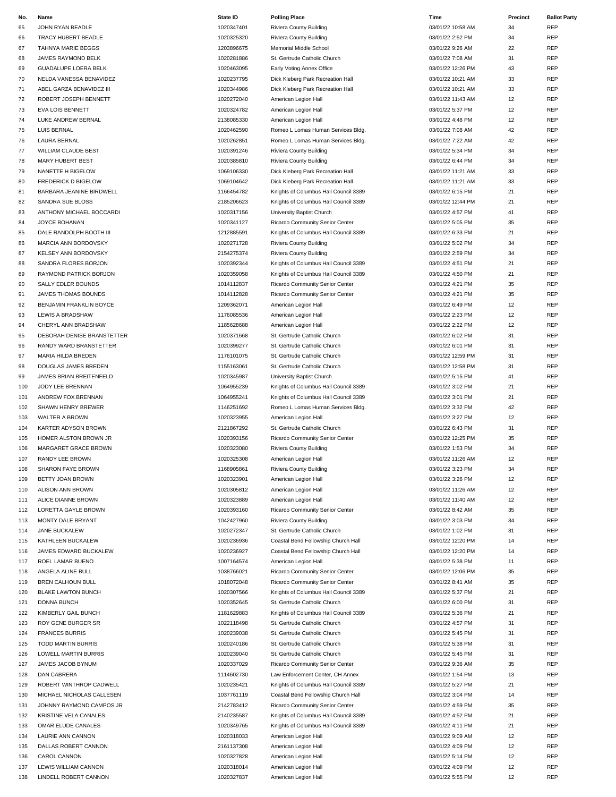| No. | Name                       | State ID   | <b>Polling Place</b>                  | Time              | Precinct | <b>Ballot Party</b> |
|-----|----------------------------|------------|---------------------------------------|-------------------|----------|---------------------|
| 65  | JOHN RYAN BEADLE           | 1020347401 | Riviera County Building               | 03/01/22 10:58 AM | 34       | REP                 |
| 66  | TRACY HUBERT BEADLE        | 1020325320 | Riviera County Building               | 03/01/22 2:52 PM  | 34       | <b>REP</b>          |
| 67  | TAHNYA MARIE BEGGS         | 1203896675 | Memorial Middle School                | 03/01/22 9:26 AM  | 22       | REP                 |
|     |                            |            |                                       |                   |          |                     |
| 68  | JAMES RAYMOND BELK         | 1020281886 | St. Gertrude Catholic Church          | 03/01/22 7:08 AM  | 31       | <b>REP</b>          |
| 69  | GUADALUPE LOERA BELK       | 1020463095 | Early Voting Annex Office             | 03/01/22 12:26 PM | 43       | <b>REP</b>          |
| 70  | NELDA VANESSA BENAVIDEZ    | 1020237795 | Dick Kleberg Park Recreation Hall     | 03/01/22 10:21 AM | 33       | <b>REP</b>          |
| 71  | ABEL GARZA BENAVIDEZ III   | 1020344986 | Dick Kleberg Park Recreation Hall     | 03/01/22 10:21 AM | 33       | <b>REP</b>          |
| 72  | ROBERT JOSEPH BENNETT      | 1020272040 | American Legion Hall                  | 03/01/22 11:43 AM | 12       | REP                 |
| 73  | <b>EVA LOIS BENNETT</b>    | 1020324782 | American Legion Hall                  | 03/01/22 5:37 PM  | 12       | <b>REP</b>          |
| 74  | LUKE ANDREW BERNAL         | 2138085330 | American Legion Hall                  | 03/01/22 4:48 PM  | 12       | <b>REP</b>          |
|     |                            |            |                                       |                   |          |                     |
| 75  | LUIS BERNAL                | 1020462590 | Romeo L Lomas Human Services Bldg.    | 03/01/22 7:08 AM  | 42       | REP                 |
| 76  | <b>LAURA BERNAL</b>        | 1020262851 | Romeo L Lomas Human Services Bldg.    | 03/01/22 7:22 AM  | 42       | <b>REP</b>          |
| 77  | WILLIAM CLAUDE BEST        | 1020391246 | Riviera County Building               | 03/01/22 5:34 PM  | 34       | <b>REP</b>          |
| 78  | <b>MARY HUBERT BEST</b>    | 1020385810 | Riviera County Building               | 03/01/22 6:44 PM  | 34       | <b>REP</b>          |
| 79  | NANETTE H BIGELOW          | 1069106330 | Dick Kleberg Park Recreation Hall     | 03/01/22 11:21 AM | 33       | <b>REP</b>          |
| 80  | <b>FREDERICK D BIGELOW</b> | 1069104642 | Dick Kleberg Park Recreation Hall     | 03/01/22 11:21 AM | 33       | REP                 |
| 81  | BARBARA JEANINE BIRDWELL   | 1166454782 | Knights of Columbus Hall Council 3389 | 03/01/22 6:15 PM  | 21       | <b>REP</b>          |
|     |                            |            |                                       |                   |          |                     |
| 82  | SANDRA SUE BLOSS           | 2185206623 | Knights of Columbus Hall Council 3389 | 03/01/22 12:44 PM | 21       | <b>REP</b>          |
| 83  | ANTHONY MICHAEL BOCCARDI   | 1020317156 | University Baptist Church             | 03/01/22 4:57 PM  | 41       | REP                 |
| 84  | JOYCE BOHANAN              | 1020341127 | Ricardo Community Senior Center       | 03/01/22 5:05 PM  | 35       | <b>REP</b>          |
| 85  | DALE RANDOLPH BOOTH III    | 1212885591 | Knights of Columbus Hall Council 3389 | 03/01/22 6:33 PM  | 21       | REP                 |
| 86  | MARCIA ANN BORDOVSKY       | 1020271728 | Riviera County Building               | 03/01/22 5:02 PM  | 34       | REP                 |
| 87  | KELSEY ANN BORDOVSKY       | 2154275374 | Riviera County Building               | 03/01/22 2:59 PM  | 34       | <b>REP</b>          |
|     | SANDRA FLORES BORJON       | 1020392344 |                                       | 03/01/22 4:51 PM  |          | REP                 |
| 88  |                            |            | Knights of Columbus Hall Council 3389 |                   | 21       |                     |
| 89  | RAYMOND PATRICK BORJON     | 1020359058 | Knights of Columbus Hall Council 3389 | 03/01/22 4:50 PM  | 21       | REP                 |
| 90  | SALLY EDLER BOUNDS         | 1014112837 | Ricardo Community Senior Center       | 03/01/22 4:21 PM  | 35       | REP                 |
| 91  | JAMES THOMAS BOUNDS        | 1014112828 | Ricardo Community Senior Center       | 03/01/22 4:21 PM  | 35       | <b>REP</b>          |
| 92  | BENJAMIN FRANKLIN BOYCE    | 1209362071 | American Legion Hall                  | 03/01/22 6:49 PM  | 12       | <b>REP</b>          |
| 93  | LEWIS A BRADSHAW           | 1176085536 | American Legion Hall                  | 03/01/22 2:23 PM  | 12       | REP                 |
| 94  | CHERYL ANN BRADSHAW        | 1185628688 | American Legion Hall                  | 03/01/22 2:22 PM  | 12       | <b>REP</b>          |
|     |                            |            |                                       |                   |          |                     |
| 95  | DEBORAH DENISE BRANSTETTER | 1020371668 | St. Gertrude Catholic Church          | 03/01/22 6:02 PM  | 31       | <b>REP</b>          |
| 96  | RANDY WARD BRANSTETTER     | 1020399277 | St. Gertrude Catholic Church          | 03/01/22 6:01 PM  | 31       | REP                 |
| 97  | MARIA HILDA BREDEN         | 1176101075 | St. Gertrude Catholic Church          | 03/01/22 12:59 PM | 31       | <b>REP</b>          |
| 98  | DOUGLAS JAMES BREDEN       | 1155163061 | St. Gertrude Catholic Church          | 03/01/22 12:58 PM | 31       | <b>REP</b>          |
| 99  | JAMES BRIAN BREITENFELD    | 1020345987 | University Baptist Church             | 03/01/22 5:15 PM  | 41       | REP                 |
| 100 | JODY LEE BRENNAN           | 1064955239 | Knights of Columbus Hall Council 3389 | 03/01/22 3:02 PM  | 21       | REP                 |
| 101 | ANDREW FOX BRENNAN         | 1064955241 | Knights of Columbus Hall Council 3389 | 03/01/22 3:01 PM  | 21       | <b>REP</b>          |
|     |                            |            |                                       |                   |          |                     |
| 102 | SHAWN HENRY BREWER         | 1146251692 | Romeo L Lomas Human Services Bldg.    | 03/01/22 3:32 PM  | 42       | <b>REP</b>          |
| 103 | <b>WALTER A BROWN</b>      | 1020323955 | American Legion Hall                  | 03/01/22 3:27 PM  | 12       | <b>REP</b>          |
| 104 | KARTER ADYSON BROWN        | 2121867292 | St. Gertrude Catholic Church          | 03/01/22 6:43 PM  | 31       | <b>REP</b>          |
| 105 | HOMER ALSTON BROWN JR      | 1020393156 | Ricardo Community Senior Center       | 03/01/22 12:25 PM | 35       | REP                 |
| 106 | MARGARET GRACE BROWN       | 1020323080 | Riviera County Building               | 03/01/22 1:53 PM  | 34       | REP                 |
| 107 | RANDY LEE BROWN            | 1020325308 | American Legion Hall                  | 03/01/22 11:26 AM | 12       | <b>REP</b>          |
| 108 | SHARON FAYE BROWN          | 1168905861 | Riviera County Building               | 03/01/22 3:23 PM  | 34       | REP                 |
| 109 | BETTY JOAN BROWN           | 1020323901 | American Legion Hall                  | 03/01/22 3:26 PM  | 12       | <b>REP</b>          |
|     |                            |            |                                       |                   |          |                     |
| 110 | ALISON ANN BROWN           | 1020305812 | American Legion Hall                  | 03/01/22 11:26 AM | 12       | REP                 |
| 111 | ALICE DIANNE BROWN         | 1020323889 | American Legion Hall                  | 03/01/22 11:40 AM | 12       | <b>REP</b>          |
| 112 | LORETTA GAYLE BROWN        | 1020393160 | Ricardo Community Senior Center       | 03/01/22 8:42 AM  | 35       | <b>REP</b>          |
| 113 | MONTY DALE BRYANT          | 1042427960 | Riviera County Building               | 03/01/22 3:03 PM  | 34       | REP                 |
| 114 | <b>JANE BUCKALEW</b>       | 1020272347 | St. Gertrude Catholic Church          | 03/01/22 1:02 PM  | 31       | <b>REP</b>          |
| 115 | KATHLEEN BUCKALEW          | 1020236936 | Coastal Bend Fellowship Church Hall   | 03/01/22 12:20 PM | 14       | REP                 |
| 116 | JAMES EDWARD BUCKALEW      | 1020236927 | Coastal Bend Fellowship Church Hall   | 03/01/22 12:20 PM | 14       | REP                 |
|     |                            |            |                                       |                   |          |                     |
| 117 | ROEL LAMAR BUENO           | 1007164574 | American Legion Hall                  | 03/01/22 5:38 PM  | 11       | <b>REP</b>          |
| 118 | ANGELA ALINE BULL          | 1038766021 | Ricardo Community Senior Center       | 03/01/22 12:06 PM | 35       | REP                 |
| 119 | <b>BREN CALHOUN BULL</b>   | 1018072048 | Ricardo Community Senior Center       | 03/01/22 8:41 AM  | 35       | <b>REP</b>          |
| 120 | <b>BLAKE LAWTON BUNCH</b>  | 1020307566 | Knights of Columbus Hall Council 3389 | 03/01/22 5:37 PM  | 21       | REP                 |
| 121 | DONNA BUNCH                | 1020352645 | St. Gertrude Catholic Church          | 03/01/22 6:00 PM  | 31       | <b>REP</b>          |
| 122 | KIMBERLY GAIL BUNCH        | 1181629883 | Knights of Columbus Hall Council 3389 | 03/01/22 5:36 PM  | 21       | <b>REP</b>          |
| 123 | ROY GENE BURGER SR         | 1022118498 | St. Gertrude Catholic Church          | 03/01/22 4:57 PM  | 31       | REP                 |
|     |                            |            |                                       |                   |          |                     |
| 124 | <b>FRANCES BURRIS</b>      | 1020239038 | St. Gertrude Catholic Church          | 03/01/22 5:45 PM  | 31       | <b>REP</b>          |
| 125 | <b>TODD MARTIN BURRIS</b>  | 1020240186 | St. Gertrude Catholic Church          | 03/01/22 5:38 PM  | 31       | REP                 |
| 126 | LOWELL MARTIN BURRIS       | 1020239040 | St. Gertrude Catholic Church          | 03/01/22 5:45 PM  | 31       | REP                 |
| 127 | JAMES JACOB BYNUM          | 1020337029 | Ricardo Community Senior Center       | 03/01/22 9:36 AM  | 35       | <b>REP</b>          |
| 128 | <b>DAN CABRERA</b>         | 1114602730 | Law Enforcement Center, CH Annex      | 03/01/22 1:54 PM  | 13       | REP                 |
| 129 | ROBERT WINTHROP CADWELL    | 1020235421 | Knights of Columbus Hall Council 3389 | 03/01/22 5:27 PM  | 21       | REP                 |
| 130 | MICHAEL NICHOLAS CALLESEN  | 1037761119 | Coastal Bend Fellowship Church Hall   | 03/01/22 3:04 PM  | 14       | REP                 |
|     |                            |            |                                       |                   |          |                     |
| 131 | JOHNNY RAYMOND CAMPOS JR   | 2142783412 | Ricardo Community Senior Center       | 03/01/22 4:59 PM  | 35       | <b>REP</b>          |
| 132 | KRISTINE VELA CANALES      | 2140235587 | Knights of Columbus Hall Council 3389 | 03/01/22 4:52 PM  | 21       | <b>REP</b>          |
| 133 | OMAR ELUDE CANALES         | 1020349765 | Knights of Columbus Hall Council 3389 | 03/01/22 4:11 PM  | 21       | <b>REP</b>          |
| 134 | LAURIE ANN CANNON          | 1020318033 | American Legion Hall                  | 03/01/22 9:09 AM  | 12       | REP                 |
| 135 | DALLAS ROBERT CANNON       | 2161137308 | American Legion Hall                  | 03/01/22 4:09 PM  | 12       | REP                 |
| 136 | CAROL CANNON               | 1020327828 | American Legion Hall                  | 03/01/22 5:14 PM  | 12       | REP                 |
| 137 | LEWIS WILLIAM CANNON       | 1020318014 | American Legion Hall                  | 03/01/22 4:09 PM  | 12       | REP                 |
|     |                            |            |                                       |                   |          |                     |
| 138 | LINDELL ROBERT CANNON      | 1020327837 | American Legion Hall                  | 03/01/22 5:55 PM  | 12       | <b>REP</b>          |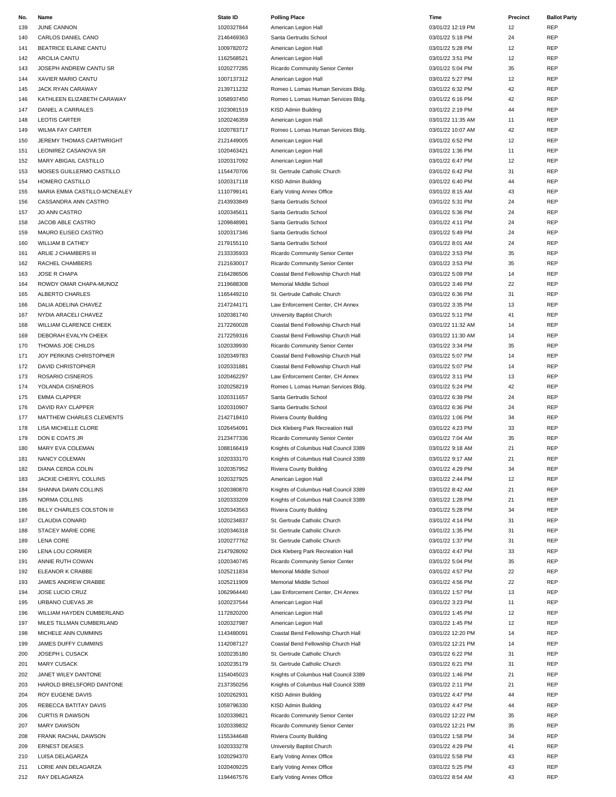| No. | Name                         | State ID   | <b>Polling Place</b>                  | Time              | Precinct | <b>Ballot Party</b> |
|-----|------------------------------|------------|---------------------------------------|-------------------|----------|---------------------|
| 139 | JUNE CANNON                  | 1020327844 | American Legion Hall                  | 03/01/22 12:19 PM | 12       | <b>REP</b>          |
| 140 | CARLOS DANIEL CANO           | 2146469363 | Santa Gertrudis School                | 03/01/22 5:18 PM  | 24       | <b>REP</b>          |
|     |                              |            |                                       |                   |          |                     |
| 141 | <b>BEATRICE ELAINE CANTU</b> | 1009782072 | American Legion Hall                  | 03/01/22 5:28 PM  | 12       | <b>REP</b>          |
| 142 | <b>ARCILIA CANTU</b>         | 1162568521 | American Legion Hall                  | 03/01/22 3:51 PM  | 12       | REP                 |
| 143 | JOSEPH ANDREW CANTU SR       | 1020277285 | Ricardo Community Senior Center       | 03/01/22 5:04 PM  | 35       | <b>REP</b>          |
| 144 | XAVIER MARIO CANTU           | 1007137312 | American Legion Hall                  | 03/01/22 5:27 PM  | 12       | <b>REP</b>          |
| 145 | JACK RYAN CARAWAY            | 2139711232 | Romeo L Lomas Human Services Bldg.    | 03/01/22 6:32 PM  | 42       | REP                 |
| 146 | KATHLEEN ELIZABETH CARAWAY   | 1058937450 | Romeo L Lomas Human Services Bldg.    | 03/01/22 6:16 PM  | 42       | <b>REP</b>          |
| 147 | DANIEL A CARRALES            | 1023081519 | KISD Admin Building                   | 03/01/22 2:19 PM  | 44       | REP                 |
|     |                              |            |                                       |                   |          |                     |
| 148 | <b>LEOTIS CARTER</b>         | 1020246359 | American Legion Hall                  | 03/01/22 11:35 AM | 11       | <b>REP</b>          |
| 149 | <b>WILMA FAY CARTER</b>      | 1020783717 | Romeo L Lomas Human Services Bldg.    | 03/01/22 10:07 AM | 42       | <b>REP</b>          |
| 150 | JEREMY THOMAS CARTWRIGHT     | 2121449005 | American Legion Hall                  | 03/01/22 6:52 PM  | 12       | <b>REP</b>          |
| 151 | LEONIREZ CASANOVA SR         | 1020463421 | American Legion Hall                  | 03/01/22 1:36 PM  | 11       | <b>REP</b>          |
| 152 | MARY ABIGAIL CASTILLO        | 1020317092 | American Legion Hall                  | 03/01/22 6:47 PM  | 12       | REP                 |
| 153 | MOISES GUILLERMO CASTILLO    | 1154470706 | St. Gertrude Catholic Church          | 03/01/22 6:42 PM  | 31       | <b>REP</b>          |
| 154 | HOMERO CASTILLO              | 1020317118 | KISD Admin Building                   | 03/01/22 6:40 PM  | 44       | <b>REP</b>          |
|     |                              |            |                                       |                   |          |                     |
| 155 | MARIA EMMA CASTILLO-MCNEALEY | 1110799141 | Early Voting Annex Office             | 03/01/22 8:15 AM  | 43       | REP                 |
| 156 | CASSANDRA ANN CASTRO         | 2143933849 | Santa Gertrudis School                | 03/01/22 5:31 PM  | 24       | <b>REP</b>          |
| 157 | <b>JO ANN CASTRO</b>         | 1020345611 | Santa Gertrudis School                | 03/01/22 5:36 PM  | 24       | <b>REP</b>          |
| 158 | JACOB ABLE CASTRO            | 1209848981 | Santa Gertrudis School                | 03/01/22 4:11 PM  | 24       | <b>REP</b>          |
| 159 | MAURO ELISEO CASTRO          | 1020317346 | Santa Gertrudis School                | 03/01/22 5:49 PM  | 24       | <b>REP</b>          |
| 160 | <b>WILLIAM B CATHEY</b>      | 2179155110 | Santa Gertrudis School                | 03/01/22 8:01 AM  | 24       | <b>REP</b>          |
| 161 | ARLIE J CHAMBERS III         | 2133335933 | Ricardo Community Senior Center       | 03/01/22 3:53 PM  | 35       | <b>REP</b>          |
|     |                              |            |                                       |                   |          |                     |
| 162 | <b>RACHEL CHAMBERS</b>       | 2121630017 | Ricardo Community Senior Center       | 03/01/22 3:53 PM  | 35       | REP                 |
| 163 | JOSE R CHAPA                 | 2164286506 | Coastal Bend Fellowship Church Hall   | 03/01/22 5:09 PM  | 14       | <b>REP</b>          |
| 164 | ROWDY OMAR CHAPA-MUNOZ       | 2119688308 | Memorial Middle School                | 03/01/22 3:46 PM  | 22       | <b>REP</b>          |
| 165 | ALBERTO CHARLES              | 1165449210 | St. Gertrude Catholic Church          | 03/01/22 6:36 PM  | 31       | <b>REP</b>          |
| 166 | DALIA ADELINA CHAVEZ         | 2147244171 | Law Enforcement Center, CH Annex      | 03/01/22 3:35 PM  | 13       | <b>REP</b>          |
| 167 | NYDIA ARACELI CHAVEZ         | 1020381740 | University Baptist Church             | 03/01/22 5:11 PM  | 41       | REP                 |
|     |                              |            |                                       |                   |          | <b>REP</b>          |
| 168 | WILLIAM CLARENCE CHEEK       | 2172260028 | Coastal Bend Fellowship Church Hall   | 03/01/22 11:32 AM | 14       |                     |
| 169 | DEBORAH EVALYN CHEEK         | 2172259316 | Coastal Bend Fellowship Church Hall   | 03/01/22 11:30 AM | 14       | <b>REP</b>          |
| 170 | THOMAS JOE CHILDS            | 1020339930 | Ricardo Community Senior Center       | 03/01/22 3:34 PM  | 35       | <b>REP</b>          |
| 171 | JOY PERKINS CHRISTOPHER      | 1020349783 | Coastal Bend Fellowship Church Hall   | 03/01/22 5:07 PM  | 14       | <b>REP</b>          |
| 172 | <b>DAVID CHRISTOPHER</b>     | 1020331881 | Coastal Bend Fellowship Church Hall   | 03/01/22 5:07 PM  | 14       | REP                 |
| 173 | ROSARIO CISNEROS             | 1020462297 | Law Enforcement Center, CH Annex      | 03/01/22 3:11 PM  | 13       | <b>REP</b>          |
|     | YOLANDA CISNEROS             | 1020258219 |                                       |                   | 42       | <b>REP</b>          |
| 174 |                              |            | Romeo L Lomas Human Services Bldg.    | 03/01/22 5:24 PM  |          |                     |
| 175 | <b>EMMA CLAPPER</b>          | 1020311657 | Santa Gertrudis School                | 03/01/22 6:39 PM  | 24       | <b>REP</b>          |
| 176 | DAVID RAY CLAPPER            | 1020310907 | Santa Gertrudis School                | 03/01/22 6:36 PM  | 24       | <b>REP</b>          |
| 177 | MATTHEW CHARLES CLEMENTS     | 2142718410 | Riviera County Building               | 03/01/22 1:06 PM  | 34       | <b>REP</b>          |
| 178 | LISA MICHELLE CLORE          | 1026454091 | Dick Kleberg Park Recreation Hall     | 03/01/22 4:23 PM  | 33       | <b>REP</b>          |
| 179 | DON E COATS JR               | 2123477336 | Ricardo Community Senior Center       | 03/01/22 7:04 AM  | 35       | REP                 |
| 180 | MARY EVA COLEMAN             | 1088166419 | Knights of Columbus Hall Council 3389 | 03/01/22 9:18 AM  | 21       | REP                 |
|     | NANCY COLEMAN                | 1020333170 |                                       | 03/01/22 9:17 AM  | 21       | <b>REP</b>          |
| 181 |                              |            | Knights of Columbus Hall Council 3389 |                   |          |                     |
| 182 | <b>DIANA CERDA COLIN</b>     | 1020357952 | Riviera County Building               | 03/01/22 4:29 PM  | 34       | REP                 |
| 183 | JACKIE CHERYL COLLINS        | 1020327925 | American Legion Hall                  | 03/01/22 2:44 PM  | 12       | <b>REP</b>          |
| 184 | SHANNA DAWN COLLINS          | 1020380870 | Knights of Columbus Hall Council 3389 | 03/01/22 8:42 AM  | 21       | <b>REP</b>          |
| 185 | NORMA COLLINS                | 1020333209 | Knights of Columbus Hall Council 3389 | 03/01/22 1:28 PM  | 21       | <b>REP</b>          |
| 186 | BILLY CHARLES COLSTON III    | 1020343563 | Riviera County Building               | 03/01/22 5:28 PM  | 34       | <b>REP</b>          |
| 187 | <b>CLAUDIA CONARD</b>        | 1020234837 | St. Gertrude Catholic Church          | 03/01/22 4:14 PM  | 31       | <b>REP</b>          |
| 188 | <b>STACEY MARIE CORE</b>     | 1020346318 | St. Gertrude Catholic Church          | 03/01/22 1:35 PM  | 31       | <b>REP</b>          |
|     |                              |            |                                       |                   |          |                     |
| 189 | <b>LENA CORE</b>             | 1020277762 | St. Gertrude Catholic Church          | 03/01/22 1:37 PM  | 31       | <b>REP</b>          |
| 190 | LENA LOU CORMIER             | 2147928092 | Dick Kleberg Park Recreation Hall     | 03/01/22 4:47 PM  | 33       | <b>REP</b>          |
| 191 | ANNIE RUTH COWAN             | 1020340745 | Ricardo Community Senior Center       | 03/01/22 5:04 PM  | 35       | <b>REP</b>          |
| 192 | ELEANOR K CRABBE             | 1025211834 | Memorial Middle School                | 03/01/22 4:57 PM  | 22       | REP                 |
| 193 | JAMES ANDREW CRABBE          | 1025211909 | Memorial Middle School                | 03/01/22 4:56 PM  | 22       | <b>REP</b>          |
| 194 | <b>JOSE LUCIO CRUZ</b>       | 1062964440 | Law Enforcement Center, CH Annex      | 03/01/22 1:57 PM  | 13       | <b>REP</b>          |
| 195 | URBANO CUEVAS JR             | 1020237544 | American Legion Hall                  | 03/01/22 3:23 PM  | 11       | <b>REP</b>          |
|     |                              |            |                                       |                   |          |                     |
| 196 | WILLIAM HAYDEN CUMBERLAND    | 1172820200 | American Legion Hall                  | 03/01/22 1:45 PM  | 12       | <b>REP</b>          |
| 197 | MILES TILLMAN CUMBERLAND     | 1020327987 | American Legion Hall                  | 03/01/22 1:45 PM  | 12       | REP                 |
| 198 | MICHELE ANN CUMMINS          | 1143480091 | Coastal Bend Fellowship Church Hall   | 03/01/22 12:20 PM | 14       | REP                 |
| 199 | JAMES DUFFY CUMMINS          | 1142087127 | Coastal Bend Fellowship Church Hall   | 03/01/22 12:21 PM | 14       | REP                 |
| 200 | JOSEPH L CUSACK              | 1020235180 | St. Gertrude Catholic Church          | 03/01/22 6:22 PM  | 31       | <b>REP</b>          |
| 201 | <b>MARY CUSACK</b>           | 1020235179 | St. Gertrude Catholic Church          | 03/01/22 6:21 PM  | 31       | <b>REP</b>          |
| 202 | JANET WILEY DANTONE          | 1154045023 | Knights of Columbus Hall Council 3389 | 03/01/22 1:46 PM  | 21       | REP                 |
|     |                              |            |                                       |                   |          |                     |
| 203 | HAROLD BRELSFORD DANTONE     | 2137350256 | Knights of Columbus Hall Council 3389 | 03/01/22 2:11 PM  | 21       | <b>REP</b>          |
| 204 | ROY EUGENE DAVIS             | 1020262931 | KISD Admin Building                   | 03/01/22 4:47 PM  | 44       | <b>REP</b>          |
| 205 | REBECCA BATITAY DAVIS        | 1059796330 | KISD Admin Building                   | 03/01/22 4:47 PM  | 44       | <b>REP</b>          |
| 206 | <b>CURTIS R DAWSON</b>       | 1020339821 | Ricardo Community Senior Center       | 03/01/22 12:22 PM | 35       | <b>REP</b>          |
| 207 | <b>MARY DAWSON</b>           | 1020339832 | Ricardo Community Senior Center       | 03/01/22 12:21 PM | 35       | <b>REP</b>          |
| 208 | FRANK RACHAL DAWSON          | 1155344648 | Riviera County Building               | 03/01/22 1:58 PM  | 34       | <b>REP</b>          |
| 209 | <b>ERNEST DEASES</b>         | 1020333278 | University Baptist Church             | 03/01/22 4:29 PM  | 41       | REP                 |
|     |                              |            |                                       |                   |          | <b>REP</b>          |
| 210 | LUISA DELAGARZA              | 1020294370 | Early Voting Annex Office             | 03/01/22 5:58 PM  | 43       |                     |
| 211 | LORIE ANN DELAGARZA          | 1020409225 | Early Voting Annex Office             | 03/01/22 5:25 PM  | 43       | REP                 |
| 212 | RAY DELAGARZA                | 1194467576 | Early Voting Annex Office             | 03/01/22 8:54 AM  | 43       | <b>REP</b>          |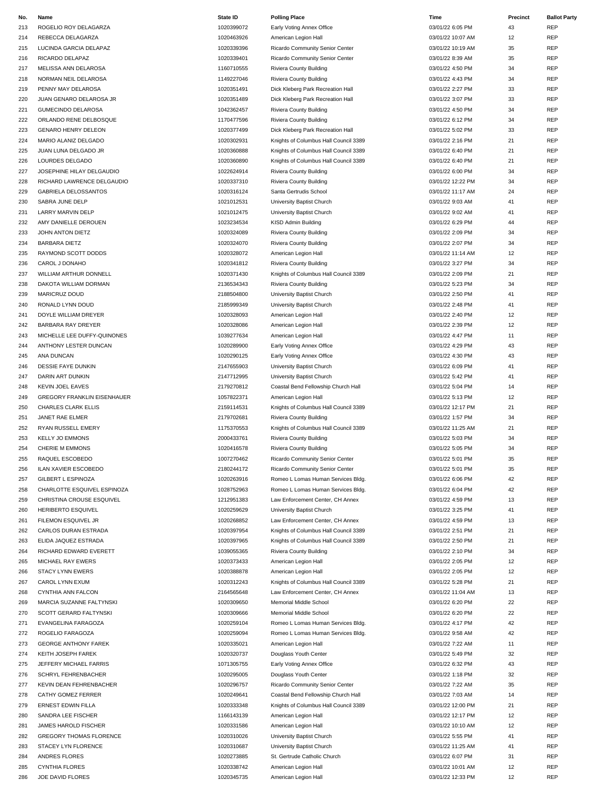| No. | Name                               | <b>State ID</b> | <b>Polling Place</b>                  | Time              | Precinct | <b>Ballot Party</b> |
|-----|------------------------------------|-----------------|---------------------------------------|-------------------|----------|---------------------|
| 213 | ROGELIO ROY DELAGARZA              | 1020399072      | Early Voting Annex Office             | 03/01/22 6:05 PM  | 43       | REP                 |
| 214 | REBECCA DELAGARZA                  | 1020463926      | American Legion Hall                  | 03/01/22 10:07 AM | 12       | REP                 |
| 215 | LUCINDA GARCIA DELAPAZ             | 1020339396      | Ricardo Community Senior Center       | 03/01/22 10:19 AM | 35       | REP                 |
| 216 | RICARDO DELAPAZ                    | 1020339401      | Ricardo Community Senior Center       | 03/01/22 8:39 AM  | 35       | <b>REP</b>          |
|     |                                    |                 |                                       |                   |          |                     |
| 217 | MELISSA ANN DELAROSA               | 1160710555      | Riviera County Building               | 03/01/22 4:50 PM  | 34       | REP                 |
| 218 | NORMAN NEIL DELAROSA               | 1149227046      | Riviera County Building               | 03/01/22 4:43 PM  | 34       | REP                 |
| 219 | PENNY MAY DELAROSA                 | 1020351491      | Dick Kleberg Park Recreation Hall     | 03/01/22 2:27 PM  | 33       | <b>REP</b>          |
| 220 | JUAN GENARO DELAROSA JR            | 1020351489      | Dick Kleberg Park Recreation Hall     | 03/01/22 3:07 PM  | 33       | REP                 |
| 221 | <b>GUMECINDO DELAROSA</b>          | 1042362457      | Riviera County Building               | 03/01/22 4:50 PM  | 34       | REP                 |
| 222 | ORLANDO RENE DELBOSQUE             | 1170477596      | Riviera County Building               | 03/01/22 6:12 PM  | 34       | REP                 |
| 223 | <b>GENARO HENRY DELEON</b>         | 1020377499      | Dick Kleberg Park Recreation Hall     | 03/01/22 5:02 PM  | 33       | REP                 |
| 224 | MARIO ALANIZ DELGADO               | 1020302931      | Knights of Columbus Hall Council 3389 | 03/01/22 2:16 PM  | 21       | REP                 |
| 225 | JUAN LUNA DELGADO JR               | 1020360888      | Knights of Columbus Hall Council 3389 | 03/01/22 6:40 PM  | 21       | REP                 |
| 226 | LOURDES DELGADO                    | 1020360890      | Knights of Columbus Hall Council 3389 | 03/01/22 6:40 PM  | 21       | <b>REP</b>          |
|     |                                    |                 |                                       |                   |          |                     |
| 227 | JOSEPHINE HILAY DELGAUDIO          | 1022624914      | Riviera County Building               | 03/01/22 6:00 PM  | 34       | REP                 |
| 228 | RICHARD LAWRENCE DELGAUDIO         | 1020337310      | Riviera County Building               | 03/01/22 12:22 PM | 34       | REP                 |
| 229 | <b>GABRIELA DELOSSANTOS</b>        | 1020316124      | Santa Gertrudis School                | 03/01/22 11:17 AM | 24       | <b>REP</b>          |
| 230 | SABRA JUNE DELP                    | 1021012531      | University Baptist Church             | 03/01/22 9:03 AM  | 41       | REP                 |
| 231 | <b>LARRY MARVIN DELP</b>           | 1021012475      | University Baptist Church             | 03/01/22 9:02 AM  | 41       | REP                 |
| 232 | AMY DANIELLE DEROUEN               | 1023234534      | KISD Admin Building                   | 03/01/22 6:29 PM  | 44       | REP                 |
| 233 | JOHN ANTON DIETZ                   | 1020324089      | Riviera County Building               | 03/01/22 2:09 PM  | 34       | REP                 |
| 234 | <b>BARBARA DIETZ</b>               | 1020324070      | Riviera County Building               | 03/01/22 2:07 PM  | 34       | REP                 |
| 235 | RAYMOND SCOTT DODDS                | 1020328072      | American Legion Hall                  | 03/01/22 11:14 AM | 12       | REP                 |
| 236 | CAROL J DONAHO                     | 1020341812      | Riviera County Building               | 03/01/22 3:27 PM  | 34       | <b>REP</b>          |
|     |                                    |                 |                                       |                   | 21       | <b>REP</b>          |
| 237 | WILLIAM ARTHUR DONNELL             | 1020371430      | Knights of Columbus Hall Council 3389 | 03/01/22 2:09 PM  |          |                     |
| 238 | DAKOTA WILLIAM DORMAN              | 2136534343      | Riviera County Building               | 03/01/22 5:23 PM  | 34       | REP                 |
| 239 | <b>MARICRUZ DOUD</b>               | 2188504800      | University Baptist Church             | 03/01/22 2:50 PM  | 41       | REP                 |
| 240 | RONALD LYNN DOUD                   | 2185999349      | University Baptist Church             | 03/01/22 2:48 PM  | 41       | REP                 |
| 241 | DOYLE WILLIAM DREYER               | 1020328093      | American Legion Hall                  | 03/01/22 2:40 PM  | 12       | REP                 |
| 242 | BARBARA RAY DREYER                 | 1020328086      | American Legion Hall                  | 03/01/22 2:39 PM  | 12       | REP                 |
| 243 | MICHELLE LEE DUFFY-QUINONES        | 1039277634      | American Legion Hall                  | 03/01/22 4:47 PM  | 11       | <b>REP</b>          |
| 244 | ANTHONY LESTER DUNCAN              | 1020289900      | Early Voting Annex Office             | 03/01/22 4:29 PM  | 43       | REP                 |
| 245 | ANA DUNCAN                         | 1020290125      | Early Voting Annex Office             | 03/01/22 4:30 PM  | 43       | REP                 |
| 246 | DESSIE FAYE DUNKIN                 | 2147655903      | University Baptist Church             | 03/01/22 6:09 PM  | 41       | <b>REP</b>          |
|     |                                    |                 |                                       |                   |          |                     |
| 247 | DARIN ART DUNKIN                   | 2147712995      | University Baptist Church             | 03/01/22 5:42 PM  | 41       | REP                 |
| 248 | <b>KEVIN JOEL EAVES</b>            | 2179270812      | Coastal Bend Fellowship Church Hall   | 03/01/22 5:04 PM  | 14       | REP                 |
| 249 | <b>GREGORY FRANKLIN EISENHAUER</b> | 1057822371      | American Legion Hall                  | 03/01/22 5:13 PM  | 12       | <b>REP</b>          |
| 250 | CHARLES CLARK ELLIS                | 2159114531      | Knights of Columbus Hall Council 3389 | 03/01/22 12:17 PM | 21       | REP                 |
| 251 | JANET RAE ELMER                    | 2179702681      | Riviera County Building               | 03/01/22 1:57 PM  | 34       | REP                 |
| 252 | RYAN RUSSELL EMERY                 | 1175370553      | Knights of Columbus Hall Council 3389 | 03/01/22 11:25 AM | 21       | REP                 |
| 253 | <b>KELLY JO EMMONS</b>             | 2000433761      | Riviera County Building               | 03/01/22 5:03 PM  | 34       | REP                 |
| 254 | CHERIE M EMMONS                    | 1020416578      | Riviera County Building               | 03/01/22 5:05 PM  | 34       | REP                 |
| 255 | RAQUEL ESCOBEDO                    | 1007270462      | Ricardo Community Senior Center       | 03/01/22 5:01 PM  | 35       | REP                 |
| 256 | <b>ILAN XAVIER ESCOBEDO</b>        | 2180244172      | Ricardo Community Senior Center       | 03/01/22 5:01 PM  | 35       | REP                 |
| 257 | <b>GILBERT L ESPINOZA</b>          | 1020263916      | Romeo L Lomas Human Services Bldg.    | 03/01/22 6:06 PM  | 42       | <b>REP</b>          |
|     |                                    |                 |                                       |                   |          |                     |
| 258 | CHARLOTTE ESQUIVEL ESPINOZA        | 1028752963      | Romeo L Lomas Human Services Bldg.    | 03/01/22 6:04 PM  | 42       | <b>REP</b>          |
| 259 | CHRISTINA CROUSE ESQUIVEL          | 1212951383      | Law Enforcement Center, CH Annex      | 03/01/22 4:59 PM  | 13       | REP                 |
| 260 | HERIBERTO ESQUIVEL                 | 1020259629      | University Baptist Church             | 03/01/22 3:25 PM  | 41       | REP                 |
| 261 | FILEMON ESQUIVEL JR                | 1020268852      | Law Enforcement Center, CH Annex      | 03/01/22 4:59 PM  | 13       | REP                 |
| 262 | CARLOS DURAN ESTRADA               | 1020397954      | Knights of Columbus Hall Council 3389 | 03/01/22 2:51 PM  | 21       | REP                 |
| 263 | ELIDA JAQUEZ ESTRADA               | 1020397965      | Knights of Columbus Hall Council 3389 | 03/01/22 2:50 PM  | 21       | REP                 |
| 264 | RICHARD EDWARD EVERETT             | 1039055365      | Riviera County Building               | 03/01/22 2:10 PM  | 34       | REP                 |
| 265 | MICHAEL RAY EWERS                  | 1020373433      | American Legion Hall                  | 03/01/22 2:05 PM  | 12       | REP                 |
| 266 | <b>STACY LYNN EWERS</b>            | 1020388878      | American Legion Hall                  | 03/01/22 2:05 PM  | 12       | <b>REP</b>          |
| 267 | CAROL LYNN EXUM                    | 1020312243      | Knights of Columbus Hall Council 3389 | 03/01/22 5:28 PM  | 21       | REP                 |
| 268 | CYNTHIA ANN FALCON                 | 2164565648      | Law Enforcement Center, CH Annex      | 03/01/22 11:04 AM | 13       | REP                 |
|     |                                    |                 |                                       |                   |          |                     |
| 269 | MARCIA SUZANNE FALTYNSKI           | 1020309650      | Memorial Middle School                | 03/01/22 6:20 PM  | 22       | REP                 |
| 270 | SCOTT GERARD FALTYNSKI             | 1020309666      | Memorial Middle School                | 03/01/22 6:20 PM  | 22       | REP                 |
| 271 | EVANGELINA FARAGOZA                | 1020259104      | Romeo L Lomas Human Services Bldg.    | 03/01/22 4:17 PM  | 42       | REP                 |
| 272 | ROGELIO FARAGOZA                   | 1020259094      | Romeo L Lomas Human Services Bldg.    | 03/01/22 9:58 AM  | 42       | REP                 |
| 273 | <b>GEORGE ANTHONY FAREK</b>        | 1020335021      | American Legion Hall                  | 03/01/22 7:22 AM  | 11       | <b>REP</b>          |
| 274 | KEITH JOSEPH FAREK                 | 1020320737      | Douglass Youth Center                 | 03/01/22 5:49 PM  | 32       | REP                 |
| 275 | JEFFERY MICHAEL FARRIS             | 1071305755      | Early Voting Annex Office             | 03/01/22 6:32 PM  | 43       | REP                 |
| 276 | SCHRYL FEHRENBACHER                | 1020295005      | Douglass Youth Center                 | 03/01/22 1:18 PM  | 32       | <b>REP</b>          |
| 277 | KEVIN DEAN FEHRENBACHER            | 1020296757      | Ricardo Community Senior Center       | 03/01/22 7:22 AM  | 35       | REP                 |
| 278 | CATHY GOMEZ FERRER                 | 1020249641      | Coastal Bend Fellowship Church Hall   | 03/01/22 7:03 AM  | 14       | REP                 |
|     |                                    |                 |                                       |                   |          | REP                 |
| 279 | <b>ERNEST EDWIN FILLA</b>          | 1020333348      | Knights of Columbus Hall Council 3389 | 03/01/22 12:00 PM | 21       |                     |
| 280 | SANDRA LEE FISCHER                 | 1166143139      | American Legion Hall                  | 03/01/22 12:17 PM | 12       | REP                 |
| 281 | JAMES HAROLD FISCHER               | 1020331586      | American Legion Hall                  | 03/01/22 10:10 AM | 12       | REP                 |
| 282 | <b>GREGORY THOMAS FLORENCE</b>     | 1020310026      | University Baptist Church             | 03/01/22 5:55 PM  | 41       | REP                 |
| 283 | STACEY LYN FLORENCE                | 1020310687      | University Baptist Church             | 03/01/22 11:25 AM | 41       | <b>REP</b>          |
| 284 | ANDRES FLORES                      | 1020273885      | St. Gertrude Catholic Church          | 03/01/22 6:07 PM  | 31       | REP                 |
| 285 | <b>CYNTHIA FLORES</b>              | 1020338742      | American Legion Hall                  | 03/01/22 10:01 AM | 12       | REP                 |
| 286 | JOE DAVID FLORES                   | 1020345735      | American Legion Hall                  | 03/01/22 12:33 PM | 12       | <b>REP</b>          |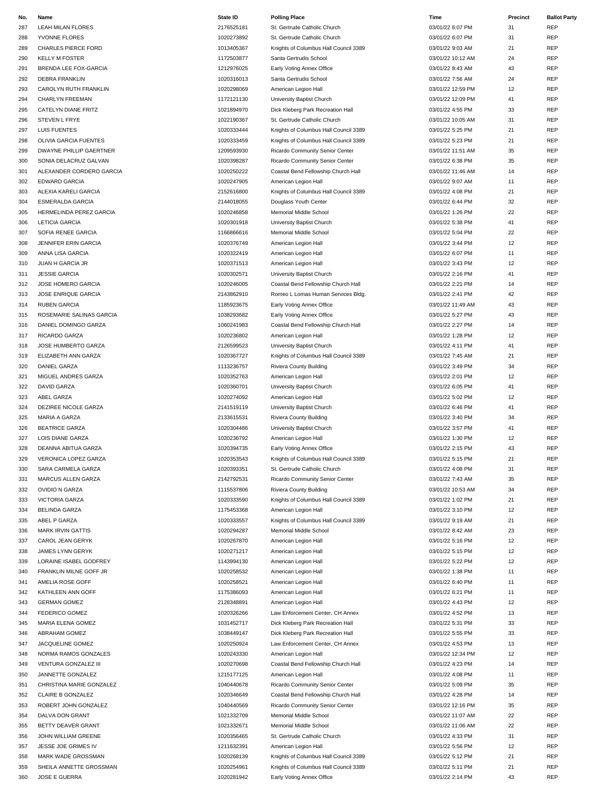| No. | Name                        | <b>State ID</b> | <b>Polling Place</b>                  | Time              | Precinct | <b>Ballot Party</b> |
|-----|-----------------------------|-----------------|---------------------------------------|-------------------|----------|---------------------|
| 287 | LEAH MILAN FLORES           | 2176525181      | St. Gertrude Catholic Church          | 03/01/22 6:07 PM  | 31       | REP                 |
| 288 | YVONNE FLORES               | 1020273892      | St. Gertrude Catholic Church          | 03/01/22 6:07 PM  | 31       | <b>REP</b>          |
| 289 | CHARLES PIERCE FORD         | 1013405367      | Knights of Columbus Hall Council 3389 | 03/01/22 9:03 AM  | 21       | REP                 |
|     |                             |                 |                                       |                   |          |                     |
| 290 | <b>KELLY M FOSTER</b>       | 1172503877      | Santa Gertrudis School                | 03/01/22 10:12 AM | 24       | <b>REP</b>          |
| 291 | BRENDA LEE FOX-GARCIA       | 1212976025      | Early Voting Annex Office             | 03/01/22 8:43 AM  | 43       | REP                 |
| 292 | <b>DEBRA FRANKLIN</b>       | 1020316013      | Santa Gertrudis School                | 03/01/22 7:56 AM  | 24       | REP                 |
| 293 | CAROLYN RUTH FRANKLIN       | 1020298069      | American Legion Hall                  | 03/01/22 12:59 PM | 12       | <b>REP</b>          |
| 294 | CHARLYN FREEMAN             | 1172121130      | University Baptist Church             | 03/01/22 12:09 PM | 41       | REP                 |
| 295 | CATELYN DIANE FRITZ         | 1021894970      | Dick Kleberg Park Recreation Hall     | 03/01/22 4:55 PM  | 33       | REP                 |
| 296 | STEVEN L FRYE               | 1022190367      | St. Gertrude Catholic Church          | 03/01/22 10:05 AM | 31       | <b>REP</b>          |
|     |                             |                 |                                       |                   |          |                     |
| 297 | LUIS FUENTES                | 1020333444      | Knights of Columbus Hall Council 3389 | 03/01/22 5:25 PM  | 21       | REP                 |
| 298 | OLIVIA GARCIA FUENTES       | 1020333459      | Knights of Columbus Hall Council 3389 | 03/01/22 5:23 PM  | 21       | REP                 |
| 299 | DWAYNE PHILLIP GAERTNER     | 1209593930      | Ricardo Community Senior Center       | 03/01/22 11:51 AM | 35       | <b>REP</b>          |
| 300 | SONIA DELACRUZ GALVAN       | 1020398287      | Ricardo Community Senior Center       | 03/01/22 6:38 PM  | 35       | REP                 |
| 301 | ALEXANDER CORDERO GARCIA    | 1020250222      | Coastal Bend Fellowship Church Hall   | 03/01/22 11:46 AM | 14       | REP                 |
| 302 | EDWARD GARCIA               | 1020247905      | American Legion Hall                  | 03/01/22 9:07 AM  | 11       | REP                 |
|     |                             |                 |                                       |                   |          |                     |
| 303 | ALEXIA KARELI GARCIA        | 2152616800      | Knights of Columbus Hall Council 3389 | 03/01/22 4:08 PM  | 21       | <b>REP</b>          |
| 304 | <b>ESMERALDA GARCIA</b>     | 2144018055      | Douglass Youth Center                 | 03/01/22 6:44 PM  | 32       | REP                 |
| 305 | HERMELINDA PEREZ GARCIA     | 1020246858      | Memorial Middle School                | 03/01/22 1:26 PM  | 22       | REP                 |
| 306 | <b>LETICIA GARCIA</b>       | 1020301918      | University Baptist Church             | 03/01/22 5:38 PM  | 41       | <b>REP</b>          |
| 307 | SOFIA RENEE GARCIA          | 1166866616      | Memorial Middle School                | 03/01/22 5:04 PM  | 22       | REP                 |
|     |                             | 1020376749      |                                       | 03/01/22 3:44 PM  |          | REP                 |
| 308 | <b>JENNIFER ERIN GARCIA</b> |                 | American Legion Hall                  |                   | 12       |                     |
| 309 | ANNA LISA GARCIA            | 1020322419      | American Legion Hall                  | 03/01/22 6:07 PM  | 11       | REP                 |
| 310 | <b>JUAN H GARCIA JR</b>     | 1020371513      | American Legion Hall                  | 03/01/22 3:43 PM  | 12       | <b>REP</b>          |
| 311 | <b>JESSIE GARCIA</b>        | 1020302571      | University Baptist Church             | 03/01/22 2:16 PM  | 41       | REP                 |
| 312 | JOSE HOMERO GARCIA          | 1020246005      | Coastal Bend Fellowship Church Hall   | 03/01/22 2:21 PM  | 14       | REP                 |
| 313 | JOSE ENRIQUE GARCIA         | 2143862910      | Romeo L Lomas Human Services Bldg.    | 03/01/22 2:41 PM  | 42       | <b>REP</b>          |
|     |                             |                 |                                       |                   |          |                     |
| 314 | <b>RUBEN GARCIA</b>         | 1185923675      | Early Voting Annex Office             | 03/01/22 11:49 AM | 43       | REP                 |
| 315 | ROSEMARIE SALINAS GARCIA    | 1038293682      | Early Voting Annex Office             | 03/01/22 5:27 PM  | 43       | REP                 |
| 316 | DANIEL DOMINGO GARZA        | 1060241983      | Coastal Bend Fellowship Church Hall   | 03/01/22 2:27 PM  | 14       | <b>REP</b>          |
| 317 | RICARDO GARZA               | 1020236802      | American Legion Hall                  | 03/01/22 1:28 PM  | 12       | REP                 |
| 318 | JOSE HUMBERTO GARZA         | 2126599523      | University Baptist Church             | 03/01/22 4:11 PM  | 41       | REP                 |
| 319 | ELIZABETH ANN GARZA         | 1020367727      | Knights of Columbus Hall Council 3389 | 03/01/22 7:45 AM  | 21       | <b>REP</b>          |
|     |                             |                 |                                       |                   |          |                     |
| 320 | <b>DANIEL GARZA</b>         | 1113236757      | Riviera County Building               | 03/01/22 3:49 PM  | 34       | REP                 |
| 321 | MIGUEL ANDRES GARZA         | 1020352763      | American Legion Hall                  | 03/01/22 2:01 PM  | 12       | REP                 |
| 322 | <b>DAVID GARZA</b>          | 1020360701      | University Baptist Church             | 03/01/22 6:05 PM  | 41       | REP                 |
| 323 | ABEL GARZA                  | 1020274092      | American Legion Hall                  | 03/01/22 5:02 PM  | 12       | <b>REP</b>          |
| 324 | DEZIREE NICOLE GARZA        | 2141519119      | University Baptist Church             | 03/01/22 6:46 PM  | 41       | REP                 |
| 325 | MARIA A GARZA               | 2133615531      | Riviera County Building               | 03/01/22 3:40 PM  | 34       | REP                 |
|     |                             |                 |                                       |                   |          |                     |
| 326 | <b>BEATRICE GARZA</b>       | 1020304486      | University Baptist Church             | 03/01/22 3:57 PM  | 41       | <b>REP</b>          |
| 327 | <b>LOIS DIANE GARZA</b>     | 1020236792      | American Legion Hall                  | 03/01/22 1:30 PM  | 12       | REP                 |
| 328 | DEANNA ABITUA GARZA         | 1020394735      | Early Voting Annex Office             | 03/01/22 2:15 PM  | 43       | REP                 |
| 329 | VERONICA LOPEZ GARZA        | 1020353543      | Knights of Columbus Hall Council 3389 | 03/01/22 5:15 PM  | 21       | REP                 |
| 330 | SARA CARMELA GARZA          | 1020393351      | St. Gertrude Catholic Church          | 03/01/22 4:08 PM  | 31       | REP                 |
| 331 | MARCUS ALLEN GARZA          | 2142792531      | Ricardo Community Senior Center       | 03/01/22 7:43 AM  | 35       | <b>REP</b>          |
|     |                             |                 |                                       |                   |          |                     |
| 332 | OVIDIO N GARZA              | 1115537806      | Riviera County Building               | 03/01/22 10:53 AM | 34       | REP                 |
| 333 | VICTORIA GARZA              | 1020333590      | Knights of Columbus Hall Council 3389 | 03/01/22 1:02 PM  | 21       | <b>REP</b>          |
| 334 | <b>BELINDA GARZA</b>        | 1175453368      | American Legion Hall                  | 03/01/22 3:10 PM  | 12       | REP                 |
| 335 | ABEL P GARZA                | 1020333557      | Knights of Columbus Hall Council 3389 | 03/01/22 9:19 AM  | 21       | REP                 |
| 336 | <b>MARK IRVIN GATTIS</b>    | 1020294287      | Memorial Middle School                | 03/01/22 8:42 AM  | 23       | <b>REP</b>          |
| 337 | CAROL JEAN GERYK            | 1020267870      | American Legion Hall                  | 03/01/22 5:16 PM  | 12       | REP                 |
|     |                             |                 |                                       |                   |          |                     |
| 338 | JAMES LYNN GERYK            | 1020271217      | American Legion Hall                  | 03/01/22 5:15 PM  | 12       | REP                 |
| 339 | LORAINE ISABEL GODFREY      | 1143994130      | American Legion Hall                  | 03/01/22 5:22 PM  | 12       | <b>REP</b>          |
| 340 | FRANKLIN MILNE GOFF JR      | 1020258532      | American Legion Hall                  | 03/01/22 1:38 PM  | 11       | REP                 |
| 341 | AMELIA ROSE GOFF            | 1020258521      | American Legion Hall                  | 03/01/22 6:40 PM  | 11       | REP                 |
| 342 | KATHLEEN ANN GOFF           | 1175386093      | American Legion Hall                  | 03/01/22 6:21 PM  | 11       | REP                 |
| 343 | <b>GERMAN GOMEZ</b>         | 2128348891      | American Legion Hall                  | 03/01/22 4:43 PM  | 12       | REP                 |
|     |                             |                 |                                       |                   |          |                     |
| 344 | FEDERICO GOMEZ              | 1020326266      | Law Enforcement Center, CH Annex      | 03/01/22 4:52 PM  | 13       | REP                 |
| 345 | MARIA ELENA GOMEZ           | 1031452717      | Dick Kleberg Park Recreation Hall     | 03/01/22 5:31 PM  | 33       | REP                 |
| 346 | ABRAHAM GOMEZ               | 1038449147      | Dick Kleberg Park Recreation Hall     | 03/01/22 5:55 PM  | 33       | REP                 |
| 347 | JACQUELINE GOMEZ            | 1020250924      | Law Enforcement Center, CH Annex      | 03/01/22 4:53 PM  | 13       | REP                 |
| 348 | NORMA RAMOS GONZALES        | 1020243330      | American Legion Hall                  | 03/01/22 12:34 PM | 12       | REP                 |
| 349 | VENTURA GONZALEZ III        | 1020270698      | Coastal Bend Fellowship Church Hall   | 03/01/22 4:23 PM  | 14       | REP                 |
|     |                             |                 |                                       |                   |          |                     |
| 350 | JANNETTE GONZALEZ           | 1215177125      | American Legion Hall                  | 03/01/22 4:08 PM  | 11       | REP                 |
| 351 | CHRISTINA MARIE GONZALEZ    | 1040440678      | Ricardo Community Senior Center       | 03/01/22 5:09 PM  | 35       | REP                 |
| 352 | CLAIRE B GONZALEZ           | 1020346649      | Coastal Bend Fellowship Church Hall   | 03/01/22 4:28 PM  | 14       | REP                 |
| 353 | ROBERT JOHN GONZALEZ        | 1040440569      | Ricardo Community Senior Center       | 03/01/22 12:16 PM | 35       | <b>REP</b>          |
| 354 | DALVA DON GRANT             | 1021332709      | Memorial Middle School                | 03/01/22 11:07 AM | 22       | REP                 |
| 355 | BETTY DEAVER GRANT          | 1021332671      | Memorial Middle School                | 03/01/22 11:06 AM | 22       | REP                 |
|     |                             |                 |                                       |                   |          |                     |
| 356 | JOHN WILLIAM GREENE         | 1020356465      | St. Gertrude Catholic Church          | 03/01/22 4:33 PM  | 31       | <b>REP</b>          |
| 357 | JESSE JOE GRIMES IV         | 1211632391      | American Legion Hall                  | 03/01/22 5:56 PM  | 12       | REP                 |
| 358 | MARK WADE GROSSMAN          | 1020268139      | Knights of Columbus Hall Council 3389 | 03/01/22 5:12 PM  | 21       | REP                 |
| 359 | SHEILA ANNETTE GROSSMAN     | 1020254961      | Knights of Columbus Hall Council 3389 | 03/01/22 5:11 PM  | 21       | REP                 |
| 360 | JOSE E GUERRA               | 1020281942      | Early Voting Annex Office             | 03/01/22 2:14 PM  | 43       | <b>REP</b>          |
|     |                             |                 |                                       |                   |          |                     |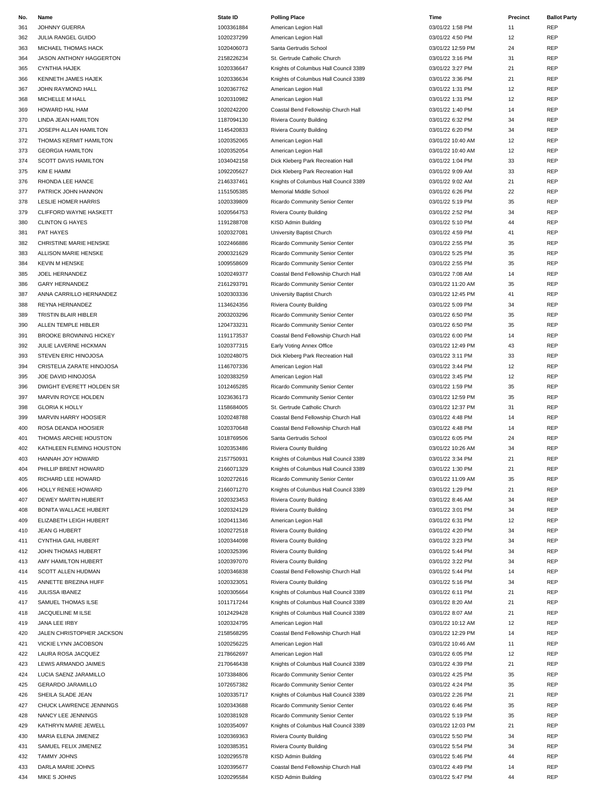| No. | Name                          | <b>State ID</b> | <b>Polling Place</b>                  | Time              | Precinct | <b>Ballot Party</b> |
|-----|-------------------------------|-----------------|---------------------------------------|-------------------|----------|---------------------|
| 361 | JOHNNY GUERRA                 | 1003361884      | American Legion Hall                  | 03/01/22 1:58 PM  | 11       | REP                 |
| 362 | JULIA RANGEL GUIDO            | 1020237299      | American Legion Hall                  | 03/01/22 4:50 PM  | 12       | REP                 |
| 363 | MICHAEL THOMAS HACK           | 1020406073      | Santa Gertrudis School                | 03/01/22 12:59 PM | 24       | <b>REP</b>          |
|     |                               |                 |                                       |                   |          |                     |
| 364 | JASON ANTHONY HAGGERTON       | 2158226234      | St. Gertrude Catholic Church          | 03/01/22 3:16 PM  | 31       | <b>REP</b>          |
| 365 | <b>CYNTHIA HAJEK</b>          | 1020336647      | Knights of Columbus Hall Council 3389 | 03/01/22 3:27 PM  | 21       | REP                 |
| 366 | KENNETH JAMES HAJEK           | 1020336634      | Knights of Columbus Hall Council 3389 | 03/01/22 3:36 PM  | 21       | <b>REP</b>          |
| 367 | JOHN RAYMOND HALL             | 1020367762      | American Legion Hall                  | 03/01/22 1:31 PM  | 12       | REP                 |
| 368 | MICHELLE M HALL               | 1020310982      | American Legion Hall                  | 03/01/22 1:31 PM  | 12       | REP                 |
| 369 | HOWARD HAL HAM                | 1020242200      | Coastal Bend Fellowship Church Hall   | 03/01/22 1:40 PM  | 14       | <b>REP</b>          |
| 370 | <b>LINDA JEAN HAMILTON</b>    | 1187094130      | Riviera County Building               | 03/01/22 6:32 PM  | 34       | <b>REP</b>          |
|     |                               |                 |                                       |                   |          |                     |
| 371 | JOSEPH ALLAN HAMILTON         | 1145420833      | Riviera County Building               | 03/01/22 6:20 PM  | 34       | REP                 |
| 372 | THOMAS KERMIT HAMILTON        | 1020352065      | American Legion Hall                  | 03/01/22 10:40 AM | 12       | <b>REP</b>          |
| 373 | <b>GEORGIA HAMILTON</b>       | 1020352054      | American Legion Hall                  | 03/01/22 10:40 AM | 12       | <b>REP</b>          |
| 374 | <b>SCOTT DAVIS HAMILTON</b>   | 1034042158      | Dick Kleberg Park Recreation Hall     | 03/01/22 1:04 PM  | 33       | REP                 |
| 375 | KIM E HAMM                    | 1092205627      | Dick Kleberg Park Recreation Hall     | 03/01/22 9:09 AM  | 33       | REP                 |
|     |                               |                 |                                       |                   |          |                     |
| 376 | RHONDA LEE HANCE              | 2146337461      | Knights of Columbus Hall Council 3389 | 03/01/22 9:02 AM  | 21       | <b>REP</b>          |
| 377 | PATRICK JOHN HANNON           | 1151505385      | Memorial Middle School                | 03/01/22 6:26 PM  | 22       | REP                 |
| 378 | LESLIE HOMER HARRIS           | 1020339809      | Ricardo Community Senior Center       | 03/01/22 5:19 PM  | 35       | REP                 |
| 379 | CLIFFORD WAYNE HASKETT        | 1020564753      | Riviera County Building               | 03/01/22 2:52 PM  | 34       | <b>REP</b>          |
| 380 | <b>CLINTON G HAYES</b>        | 1191288708      | KISD Admin Building                   | 03/01/22 5:10 PM  | 44       | REP                 |
| 381 | PAT HAYES                     | 1020327081      | University Baptist Church             | 03/01/22 4:59 PM  | 41       | REP                 |
|     |                               |                 |                                       |                   |          |                     |
| 382 | <b>CHRISTINE MARIE HENSKE</b> | 1022466886      | Ricardo Community Senior Center       | 03/01/22 2:55 PM  | 35       | REP                 |
| 383 | ALLISON MARIE HENSKE          | 2000321629      | Ricardo Community Senior Center       | 03/01/22 5:25 PM  | 35       | <b>REP</b>          |
| 384 | <b>KEVIN M HENSKE</b>         | 1009558609      | Ricardo Community Senior Center       | 03/01/22 2:55 PM  | 35       | REP                 |
| 385 | JOEL HERNANDEZ                | 1020249377      | Coastal Bend Fellowship Church Hall   | 03/01/22 7:08 AM  | 14       | REP                 |
| 386 | <b>GARY HERNANDEZ</b>         | 2161293791      | Ricardo Community Senior Center       | 03/01/22 11:20 AM | 35       | <b>REP</b>          |
|     |                               |                 |                                       |                   |          |                     |
| 387 | ANNA CARRILLO HERNANDEZ       | 1020303336      | University Baptist Church             | 03/01/22 12:45 PM | 41       | REP                 |
| 388 | REYNA HERNANDEZ               | 1134624356      | Riviera County Building               | 03/01/22 5:09 PM  | 34       | REP                 |
| 389 | TRISTIN BLAIR HIBLER          | 2003203296      | Ricardo Community Senior Center       | 03/01/22 6:50 PM  | 35       | REP                 |
| 390 | ALLEN TEMPLE HIBLER           | 1204733231      | Ricardo Community Senior Center       | 03/01/22 6:50 PM  | 35       | <b>REP</b>          |
| 391 | <b>BROOKE BROWNING HICKEY</b> | 1191173537      | Coastal Bend Fellowship Church Hall   | 03/01/22 6:00 PM  | 14       | REP                 |
|     |                               |                 |                                       |                   |          |                     |
| 392 | JULIE LAVERNE HICKMAN         | 1020377315      | Early Voting Annex Office             | 03/01/22 12:49 PM | 43       | REP                 |
| 393 | STEVEN ERIC HINOJOSA          | 1020248075      | Dick Kleberg Park Recreation Hall     | 03/01/22 3:11 PM  | 33       | <b>REP</b>          |
| 394 | CRISTELIA ZARATE HINOJOSA     | 1146707336      | American Legion Hall                  | 03/01/22 3:44 PM  | 12       | <b>REP</b>          |
| 395 | JOE DAVID HINOJOSA            | 1020383259      | American Legion Hall                  | 03/01/22 3:45 PM  | 12       | REP                 |
| 396 | DWIGHT EVERETT HOLDEN SR      | 1012465285      | Ricardo Community Senior Center       | 03/01/22 1:59 PM  | 35       | REP                 |
|     |                               |                 |                                       |                   |          |                     |
| 397 | MARVIN ROYCE HOLDEN           | 1023636173      | Ricardo Community Senior Center       | 03/01/22 12:59 PM | 35       | REP                 |
| 398 | <b>GLORIA K HOLLY</b>         | 1158684005      | St. Gertrude Catholic Church          | 03/01/22 12:37 PM | 31       | REP                 |
| 399 | MARVIN HARRY HOOSIER          | 1020248788      | Coastal Bend Fellowship Church Hall   | 03/01/22 4:48 PM  | 14       | REP                 |
| 400 | ROSA DEANDA HOOSIER           | 1020370648      | Coastal Bend Fellowship Church Hall   | 03/01/22 4:48 PM  | 14       | <b>REP</b>          |
| 401 | THOMAS ARCHIE HOUSTON         | 1018769506      | Santa Gertrudis School                | 03/01/22 6:05 PM  | 24       | REP                 |
| 402 | KATHLEEN FLEMING HOUSTON      | 1020353486      | Riviera County Building               | 03/01/22 10:26 AM | 34       | <b>REP</b>          |
|     |                               |                 |                                       |                   |          |                     |
| 403 | HANNAH JOY HOWARD             | 2157750931      | Knights of Columbus Hall Council 3389 | 03/01/22 3:34 PM  | 21       | <b>REP</b>          |
| 404 | PHILLIP BRENT HOWARD          | 2166071329      | Knights of Columbus Hall Council 3389 | 03/01/22 1:30 PM  | 21       | REP                 |
| 405 | RICHARD LEE HOWARD            | 1020272616      | Ricardo Community Senior Center       | 03/01/22 11:09 AM | 35       | REP                 |
| 406 | HOLLY RENEE HOWARD            | 2166071270      | Knights of Columbus Hall Council 3389 | 03/01/22 1:29 PM  | 21       | <b>REP</b>          |
| 407 | DEWEY MARTIN HUBERT           | 1020323453      | Riviera County Building               | 03/01/22 8:46 AM  | 34       | REP                 |
|     |                               |                 |                                       |                   |          |                     |
| 408 | BONITA WALLACE HUBERT         | 1020324129      | Riviera County Building               | 03/01/22 3:01 PM  | 34       | REP                 |
| 409 | ELIZABETH LEIGH HUBERT        | 1020411346      | American Legion Hall                  | 03/01/22 6:31 PM  | 12       | <b>REP</b>          |
| 410 | <b>JEAN G HUBERT</b>          | 1020272518      | Riviera County Building               | 03/01/22 4:20 PM  | 34       | <b>REP</b>          |
| 411 | CYNTHIA GAIL HUBERT           | 1020344098      | Riviera County Building               | 03/01/22 3:23 PM  | 34       | REP                 |
| 412 | JOHN THOMAS HUBERT            | 1020325396      | Riviera County Building               | 03/01/22 5:44 PM  | 34       | REP                 |
| 413 | AMY HAMILTON HUBERT           | 1020397070      | Riviera County Building               | 03/01/22 3:22 PM  | 34       | <b>REP</b>          |
|     |                               | 1020346838      | Coastal Bend Fellowship Church Hall   | 03/01/22 5:44 PM  | 14       | REP                 |
| 414 | SCOTT ALLEN HUDMAN            |                 |                                       |                   |          |                     |
| 415 | ANNETTE BREZINA HUFF          | 1020323051      | Riviera County Building               | 03/01/22 5:16 PM  | 34       | <b>REP</b>          |
| 416 | <b>JULISSA IBANEZ</b>         | 1020305664      | Knights of Columbus Hall Council 3389 | 03/01/22 6:11 PM  | 21       | REP                 |
| 417 | SAMUEL THOMAS ILSE            | 1011717244      | Knights of Columbus Hall Council 3389 | 03/01/22 8:20 AM  | 21       | REP                 |
| 418 | JACQUELINE M ILSE             | 1012429428      | Knights of Columbus Hall Council 3389 | 03/01/22 8:07 AM  | 21       | REP                 |
| 419 | JANA LEE IRBY                 | 1020324795      | American Legion Hall                  | 03/01/22 10:12 AM | 12       | REP                 |
|     |                               |                 |                                       |                   |          |                     |
| 420 | JALEN CHRISTOPHER JACKSON     | 2158568295      | Coastal Bend Fellowship Church Hall   | 03/01/22 12:29 PM | 14       | <b>REP</b>          |
| 421 | VICKIE LYNN JACOBSON          | 1020256225      | American Legion Hall                  | 03/01/22 10:46 AM | 11       | REP                 |
| 422 | LAURA ROSA JACQUEZ            | 2178662697      | American Legion Hall                  | 03/01/22 6:05 PM  | 12       | REP                 |
| 423 | LEWIS ARMANDO JAIMES          | 2170646438      | Knights of Columbus Hall Council 3389 | 03/01/22 4:39 PM  | 21       | REP                 |
| 424 | LUCIA SAENZ JARAMILLO         | 1073384806      | Ricardo Community Senior Center       | 03/01/22 4:25 PM  | 35       | REP                 |
|     |                               |                 |                                       |                   |          | REP                 |
| 425 | <b>GERARDO JARAMILLO</b>      | 1072657382      | Ricardo Community Senior Center       | 03/01/22 4:24 PM  | 35       |                     |
| 426 | SHEILA SLADE JEAN             | 1020335717      | Knights of Columbus Hall Council 3389 | 03/01/22 2:26 PM  | 21       | REP                 |
| 427 | CHUCK LAWRENCE JENNINGS       | 1020343688      | Ricardo Community Senior Center       | 03/01/22 6:46 PM  | 35       | REP                 |
| 428 | NANCY LEE JENNINGS            | 1020381928      | Ricardo Community Senior Center       | 03/01/22 5:19 PM  | 35       | REP                 |
| 429 | KATHRYN MARIE JEWELL          | 1020354097      | Knights of Columbus Hall Council 3389 | 03/01/22 12:03 PM | 21       | REP                 |
| 430 | MARIA ELENA JIMENEZ           | 1020369363      | Riviera County Building               | 03/01/22 5:50 PM  | 34       | <b>REP</b>          |
|     |                               |                 |                                       |                   |          |                     |
| 431 | SAMUEL FELIX JIMENEZ          | 1020385351      | Riviera County Building               | 03/01/22 5:54 PM  | 34       | REP                 |
| 432 | <b>TAMMY JOHNS</b>            | 1020295578      | KISD Admin Building                   | 03/01/22 5:46 PM  | 44       | REP                 |
| 433 | DARLA MARIE JOHNS             | 1020395677      | Coastal Bend Fellowship Church Hall   | 03/01/22 4:49 PM  | 14       | REP                 |
| 434 | MIKE S JOHNS                  | 1020295584      | KISD Admin Building                   | 03/01/22 5:47 PM  | 44       | REP                 |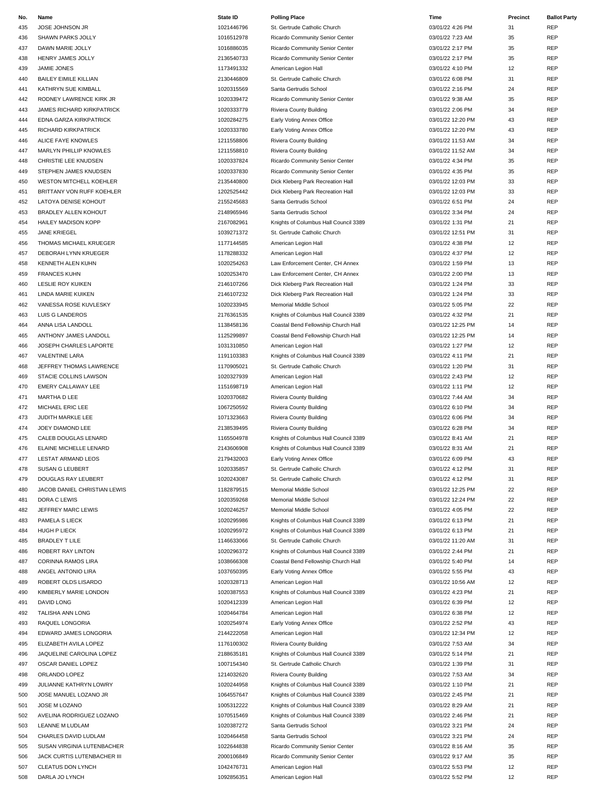| No. | Name                             | <b>State ID</b> | <b>Polling Place</b>                  | Time              | Precinct | <b>Ballot Party</b> |
|-----|----------------------------------|-----------------|---------------------------------------|-------------------|----------|---------------------|
| 435 | JOSE JOHNSON JR                  | 1021446796      | St. Gertrude Catholic Church          | 03/01/22 4:26 PM  | 31       | REP                 |
| 436 | SHAWN PARKS JOLLY                | 1016512978      | Ricardo Community Senior Center       | 03/01/22 7:23 AM  | 35       | REP                 |
| 437 | DAWN MARIE JOLLY                 | 1016886035      | Ricardo Community Senior Center       | 03/01/22 2:17 PM  | 35       | REP                 |
| 438 | HENRY JAMES JOLLY                | 2136540733      | Ricardo Community Senior Center       | 03/01/22 2:17 PM  | 35       | <b>REP</b>          |
|     |                                  |                 |                                       |                   |          |                     |
| 439 | JAMIE JONES                      | 1173491332      | American Legion Hall                  | 03/01/22 4:10 PM  | 12       | <b>REP</b>          |
| 440 | <b>BAILEY EIMILE KILLIAN</b>     | 2130446809      | St. Gertrude Catholic Church          | 03/01/22 6:08 PM  | 31       | <b>REP</b>          |
| 441 | KATHRYN SUE KIMBALL              | 1020315569      | Santa Gertrudis School                | 03/01/22 2:16 PM  | 24       | <b>REP</b>          |
| 442 | RODNEY LAWRENCE KIRK JR          | 1020339472      | Ricardo Community Senior Center       | 03/01/22 9:38 AM  | 35       | REP                 |
| 443 | <b>JAMES RICHARD KIRKPATRICK</b> | 1020333779      | Riviera County Building               | 03/01/22 2:06 PM  | 34       | REP                 |
| 444 | EDNA GARZA KIRKPATRICK           | 1020284275      | Early Voting Annex Office             | 03/01/22 12:20 PM | 43       | REP                 |
| 445 | RICHARD KIRKPATRICK              | 1020333780      | Early Voting Annex Office             | 03/01/22 12:20 PM | 43       | REP                 |
| 446 | ALICE FAYE KNOWLES               | 1211558806      | Riviera County Building               | 03/01/22 11:53 AM | 34       | REP                 |
| 447 | MARLYN PHILLIP KNOWLES           | 1211558810      | Riviera County Building               | 03/01/22 11:52 AM | 34       | REP                 |
| 448 | CHRISTIE LEE KNUDSEN             | 1020337824      | Ricardo Community Senior Center       | 03/01/22 4:34 PM  | 35       | REP                 |
|     |                                  |                 |                                       |                   |          |                     |
| 449 | STEPHEN JAMES KNUDSEN            | 1020337830      | Ricardo Community Senior Center       | 03/01/22 4:35 PM  | 35       | <b>REP</b>          |
| 450 | WESTON MITCHELL KOEHLER          | 2135440800      | Dick Kleberg Park Recreation Hall     | 03/01/22 12:03 PM | 33       | REP                 |
| 451 | BRITTANY VON RUFF KOEHLER        | 1202525442      | Dick Kleberg Park Recreation Hall     | 03/01/22 12:03 PM | 33       | <b>REP</b>          |
| 452 | LATOYA DENISE KOHOUT             | 2155245683      | Santa Gertrudis School                | 03/01/22 6:51 PM  | 24       | REP                 |
| 453 | <b>BRADLEY ALLEN KOHOUT</b>      | 2148965946      | Santa Gertrudis School                | 03/01/22 3:34 PM  | 24       | REP                 |
| 454 | <b>HAILEY MADISON KOPP</b>       | 2167082961      | Knights of Columbus Hall Council 3389 | 03/01/22 1:31 PM  | 21       | <b>REP</b>          |
| 455 | <b>JANE KRIEGEL</b>              | 1039271372      | St. Gertrude Catholic Church          | 03/01/22 12:51 PM | 31       | REP                 |
| 456 | THOMAS MICHAEL KRUEGER           | 1177144585      | American Legion Hall                  | 03/01/22 4:38 PM  | 12       | REP                 |
| 457 | DEBORAH LYNN KRUEGER             | 1178288332      | American Legion Hall                  | 03/01/22 4:37 PM  | 12       | REP                 |
| 458 | KENNETH ALEN KUHN                | 1020254263      | Law Enforcement Center, CH Annex      | 03/01/22 1:59 PM  | 13       | <b>REP</b>          |
| 459 | <b>FRANCES KUHN</b>              | 1020253470      | Law Enforcement Center, CH Annex      | 03/01/22 2:00 PM  | 13       | REP                 |
|     |                                  |                 |                                       |                   |          |                     |
| 460 | <b>LESLIE ROY KUIKEN</b>         | 2146107266      | Dick Kleberg Park Recreation Hall     | 03/01/22 1:24 PM  | 33       | REP                 |
| 461 | <b>LINDA MARIE KUIKEN</b>        | 2146107232      | Dick Kleberg Park Recreation Hall     | 03/01/22 1:24 PM  | 33       | REP                 |
| 462 | VANESSA ROSE KUVLESKY            | 1020233945      | Memorial Middle School                | 03/01/22 5:05 PM  | 22       | REP                 |
| 463 | LUIS G LANDEROS                  | 2176361535      | Knights of Columbus Hall Council 3389 | 03/01/22 4:32 PM  | 21       | <b>REP</b>          |
| 464 | ANNA LISA LANDOLL                | 1138458136      | Coastal Bend Fellowship Church Hall   | 03/01/22 12:25 PM | 14       | REP                 |
| 465 | ANTHONY JAMES LANDOLL            | 1125299897      | Coastal Bend Fellowship Church Hall   | 03/01/22 12:25 PM | 14       | REP                 |
| 466 | JOSEPH CHARLES LAPORTE           | 1031310850      | American Legion Hall                  | 03/01/22 1:27 PM  | 12       | <b>REP</b>          |
| 467 | <b>VALENTINE LARA</b>            | 1191103383      | Knights of Columbus Hall Council 3389 | 03/01/22 4:11 PM  | 21       | REP                 |
| 468 | JEFFREY THOMAS LAWRENCE          | 1170905021      | St. Gertrude Catholic Church          | 03/01/22 1:20 PM  | 31       | <b>REP</b>          |
| 469 | STACIE COLLINS LAWSON            | 1020327939      |                                       | 03/01/22 2:43 PM  | 12       | <b>REP</b>          |
|     |                                  |                 | American Legion Hall                  |                   |          |                     |
| 470 | EMERY CALLAWAY LEE               | 1151698719      | American Legion Hall                  | 03/01/22 1:11 PM  | 12       | REP                 |
| 471 | MARTHA D LEE                     | 1020370682      | Riviera County Building               | 03/01/22 7:44 AM  | 34       | <b>REP</b>          |
| 472 | MICHAEL ERIC LEE                 | 1067250592      | Riviera County Building               | 03/01/22 6:10 PM  | 34       | REP                 |
| 473 | JUDITH MARKLE LEE                | 1071323663      | Riviera County Building               | 03/01/22 6:06 PM  | 34       | REP                 |
| 474 | JOEY DIAMOND LEE                 | 2138539495      | Riviera County Building               | 03/01/22 6:28 PM  | 34       | <b>REP</b>          |
| 475 | CALEB DOUGLAS LENARD             | 1165504978      | Knights of Columbus Hall Council 3389 | 03/01/22 8:41 AM  | 21       | <b>REP</b>          |
| 476 | ELAINE MICHELLE LENARD           | 2143606908      | Knights of Columbus Hall Council 3389 | 03/01/22 8:31 AM  | 21       | REP                 |
| 477 | <b>LESTAT ARMAND LEOS</b>        | 2179432003      | Early Voting Annex Office             | 03/01/22 6:09 PM  | 43       | REP                 |
| 478 | SUSAN G LEUBERT                  | 1020335857      | St. Gertrude Catholic Church          | 03/01/22 4:12 PM  | 31       | REP                 |
| 479 | DOUGLAS RAY LEUBERT              | 1020243087      | St. Gertrude Catholic Church          | 03/01/22 4:12 PM  | 31       | <b>REP</b>          |
| 480 | JACOB DANIEL CHRISTIAN LEWIS     | 1182879515      | Memorial Middle School                | 03/01/22 12:25 PM | 22       | <b>REP</b>          |
|     |                                  |                 |                                       |                   |          |                     |
| 481 | DORA C LEWIS                     | 1020359268      | Memorial Middle School                | 03/01/22 12:24 PM | 22       | REP                 |
| 482 | JEFFREY MARC LEWIS               | 1020246257      | Memorial Middle School                | 03/01/22 4:05 PM  | 22       | REP                 |
| 483 | PAMELA S LIECK                   | 1020295986      | Knights of Columbus Hall Council 3389 | 03/01/22 6:13 PM  | 21       | REP                 |
| 484 | HUGH P LIECK                     | 1020295972      | Knights of Columbus Hall Council 3389 | 03/01/22 6:13 PM  | 21       | REP                 |
| 485 | <b>BRADLEY T LILE</b>            | 1146633066      | St. Gertrude Catholic Church          | 03/01/22 11:20 AM | 31       | <b>REP</b>          |
| 486 | ROBERT RAY LINTON                | 1020296372      | Knights of Columbus Hall Council 3389 | 03/01/22 2:44 PM  | 21       | REP                 |
| 487 | CORINNA RAMOS LIRA               | 1038666308      | Coastal Bend Fellowship Church Hall   | 03/01/22 5:40 PM  | 14       | REP                 |
| 488 | ANGEL ANTONIO LIRA               | 1037650395      | Early Voting Annex Office             | 03/01/22 5:55 PM  | 43       | <b>REP</b>          |
| 489 | ROBERT OLDS LISARDO              | 1020328713      | American Legion Hall                  | 03/01/22 10:56 AM | 12       | REP                 |
| 490 | KIMBERLY MARIE LONDON            | 1020387553      | Knights of Columbus Hall Council 3389 | 03/01/22 4:23 PM  | 21       | REP                 |
| 491 | DAVID LONG                       | 1020412339      | American Legion Hall                  | 03/01/22 6:39 PM  | 12       | REP                 |
| 492 | <b>TALISHA ANN LONG</b>          | 1020464784      |                                       | 03/01/22 6:38 PM  | 12       | REP                 |
|     |                                  |                 | American Legion Hall                  |                   |          |                     |
| 493 | RAQUEL LONGORIA                  | 1020254974      | Early Voting Annex Office             | 03/01/22 2:52 PM  | 43       | REP                 |
| 494 | EDWARD JAMES LONGORIA            | 2144222058      | American Legion Hall                  | 03/01/22 12:34 PM | 12       | REP                 |
| 495 | ELIZABETH AVILA LOPEZ            | 1176100302      | Riviera County Building               | 03/01/22 7:53 AM  | 34       | <b>REP</b>          |
| 496 | JAQUELINE CAROLINA LOPEZ         | 2188635181      | Knights of Columbus Hall Council 3389 | 03/01/22 5:14 PM  | 21       | REP                 |
| 497 | OSCAR DANIEL LOPEZ               | 1007154340      | St. Gertrude Catholic Church          | 03/01/22 1:39 PM  | 31       | REP                 |
| 498 | ORLANDO LOPEZ                    | 1214032620      | Riviera County Building               | 03/01/22 7:53 AM  | 34       | <b>REP</b>          |
| 499 | JULIANNE KATHRYN LOWRY           | 1020244958      | Knights of Columbus Hall Council 3389 | 03/01/22 1:10 PM  | 21       | REP                 |
| 500 | JOSE MANUEL LOZANO JR            | 1064557647      | Knights of Columbus Hall Council 3389 | 03/01/22 2:45 PM  | 21       | <b>REP</b>          |
| 501 | JOSE M LOZANO                    | 1005312222      | Knights of Columbus Hall Council 3389 | 03/01/22 8:29 AM  | 21       | REP                 |
| 502 | AVELINA RODRIGUEZ LOZANO         | 1070515469      | Knights of Columbus Hall Council 3389 | 03/01/22 2:46 PM  | 21       | REP                 |
|     |                                  |                 |                                       |                   |          |                     |
| 503 | LEANNE M LUDLAM                  | 1020387272      | Santa Gertrudis School                | 03/01/22 3:21 PM  | 24       | REP                 |
| 504 | CHARLES DAVID LUDLAM             | 1020464458      | Santa Gertrudis School                | 03/01/22 3:21 PM  | 24       | REP                 |
| 505 | SUSAN VIRGINIA LUTENBACHER       | 1022644838      | Ricardo Community Senior Center       | 03/01/22 8:16 AM  | 35       | <b>REP</b>          |
| 506 | JACK CURTIS LUTENBACHER III      | 2000106849      | Ricardo Community Senior Center       | 03/01/22 9:17 AM  | 35       | REP                 |
| 507 | <b>CLEATUS DON LYNCH</b>         | 1042476731      | American Legion Hall                  | 03/01/22 5:53 PM  | 12       | REP                 |
| 508 | DARLA JO LYNCH                   | 1092856351      | American Legion Hall                  | 03/01/22 5:52 PM  | 12       | <b>REP</b>          |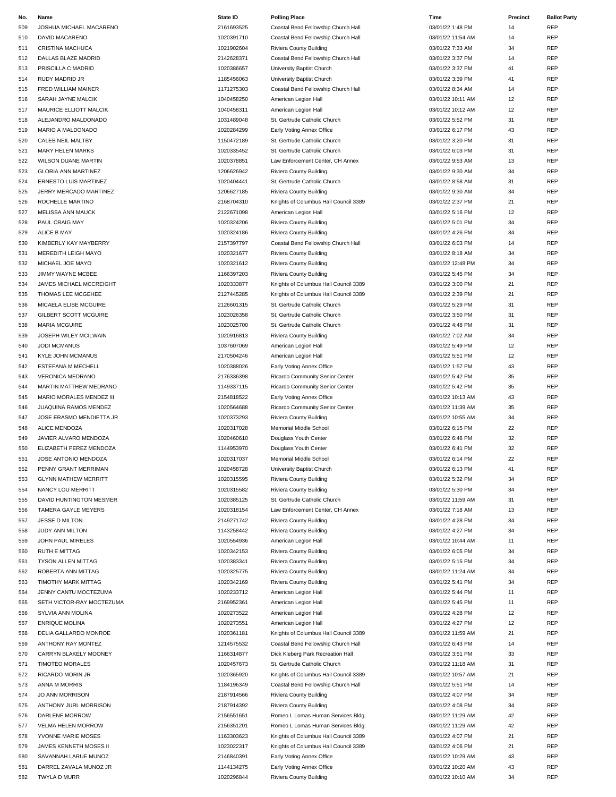| No.        | Name                                                 | State ID                 | <b>Polling Place</b>                                           | Time<br>03/01/22 1:48 PM              | Precinct | <b>Ballot Party</b><br>REP |
|------------|------------------------------------------------------|--------------------------|----------------------------------------------------------------|---------------------------------------|----------|----------------------------|
| 509        | JOSHUA MICHAEL MACARENO                              | 2161693525<br>1020391710 | Coastal Bend Fellowship Church Hall                            | 03/01/22 11:54 AM                     | 14       | <b>REP</b>                 |
| 510        | DAVID MACARENO                                       |                          | Coastal Bend Fellowship Church Hall                            |                                       | 14       | REP                        |
| 511        | <b>CRISTINA MACHUCA</b>                              | 1021902604               | Riviera County Building                                        | 03/01/22 7:33 AM                      | 34       |                            |
| 512        | DALLAS BLAZE MADRID                                  | 2142628371               | Coastal Bend Fellowship Church Hall                            | 03/01/22 3:37 PM                      | 14       | <b>REP</b><br><b>REP</b>   |
| 513        | PRISCILLA C MADRID<br><b>RUDY MADRID JR</b>          | 1020386657               | University Baptist Church                                      | 03/01/22 3:37 PM                      | 41       | REP                        |
| 514<br>515 | FRED WILLIAM MAINER                                  | 1185456063<br>1171275303 | University Baptist Church                                      | 03/01/22 3:39 PM<br>03/01/22 8:34 AM  | 41<br>14 | <b>REP</b>                 |
|            |                                                      |                          | Coastal Bend Fellowship Church Hall                            |                                       |          |                            |
| 516        | SARAH JAYNE MALCIK                                   | 1040458250               | American Legion Hall                                           | 03/01/22 10:11 AM                     | 12       | <b>REP</b>                 |
| 517        | MAURICE ELLIOTT MALCIK                               | 1040458311               | American Legion Hall                                           | 03/01/22 10:12 AM                     | 12       | <b>REP</b>                 |
| 518        | ALEJANDRO MALDONADO<br>MARIO A MALDONADO             | 1031489048               | St. Gertrude Catholic Church                                   | 03/01/22 5:52 PM<br>03/01/22 6:17 PM  | 31<br>43 | <b>REP</b><br>REP          |
| 519        | CALEB NEIL MALTBY                                    | 1020284299               | Early Voting Annex Office                                      | 03/01/22 3:20 PM                      | 31       | <b>REP</b>                 |
| 520        |                                                      | 1150472189               | St. Gertrude Catholic Church<br>St. Gertrude Catholic Church   | 03/01/22 6:03 PM                      |          |                            |
| 521        | <b>MARY HELEN MARKS</b>                              | 1020335452               |                                                                |                                       | 31       | REP                        |
| 522        | <b>WILSON DUANE MARTIN</b>                           | 1020378851               | Law Enforcement Center, CH Annex                               | 03/01/22 9:53 AM                      | 13       | <b>REP</b>                 |
| 523        | <b>GLORIA ANN MARTINEZ</b>                           | 1206626942               | Riviera County Building                                        | 03/01/22 9:30 AM                      | 34       | <b>REP</b>                 |
| 524        | ERNESTO LUIS MARTINEZ                                | 1020404441               | St. Gertrude Catholic Church                                   | 03/01/22 8:58 AM                      | 31       | REP<br>REP                 |
| 525        | JERRY MERCADO MARTINEZ                               | 1206627185               | Riviera County Building                                        | 03/01/22 9:30 AM                      | 34       |                            |
| 526        | ROCHELLE MARTINO                                     | 2168704310               | Knights of Columbus Hall Council 3389                          | 03/01/22 2:37 PM                      | 21       | <b>REP</b>                 |
| 527        | MELISSA ANN MAUCK                                    | 2122671098               | American Legion Hall                                           | 03/01/22 5:16 PM                      | 12       | REP                        |
| 528        | PAUL CRAIG MAY<br>ALICE B MAY                        | 1020324206               | Riviera County Building                                        | 03/01/22 5:01 PM<br>03/01/22 4:26 PM  | 34       | <b>REP</b><br><b>REP</b>   |
| 529        |                                                      | 1020324186               | Riviera County Building                                        |                                       | 34       |                            |
| 530        | KIMBERLY KAY MAYBERRY<br>MEREDITH LEIGH MAYO         | 2157397797<br>1020321677 | Coastal Bend Fellowship Church Hall<br>Riviera County Building | 03/01/22 6:03 PM<br>03/01/22 8:18 AM  | 14       | REP<br>REP                 |
| 531        | MICHAEL JOE MAYO                                     |                          |                                                                |                                       | 34       | REP                        |
| 532        |                                                      | 1020321612<br>1166397203 | Riviera County Building                                        | 03/01/22 12:48 PM                     | 34       | <b>REP</b>                 |
| 533        | JIMMY WAYNE MCBEE                                    |                          | Riviera County Building                                        | 03/01/22 5:45 PM                      | 34       | REP                        |
| 534        | JAMES MICHAEL MCCREIGHT                              | 1020333877<br>2127445285 | Knights of Columbus Hall Council 3389                          | 03/01/22 3:00 PM                      | 21       |                            |
| 535        | THOMAS LEE MCGEHEE                                   |                          | Knights of Columbus Hall Council 3389                          | 03/01/22 2:39 PM                      | 21       | REP<br>REP                 |
| 536        | MICAELA ELISE MCGUIRE                                | 2126601315               | St. Gertrude Catholic Church                                   | 03/01/22 5:29 PM                      | 31       | REP                        |
| 537        | <b>GILBERT SCOTT MCGUIRE</b><br><b>MARIA MCGUIRE</b> | 1023026358<br>1023025700 | St. Gertrude Catholic Church                                   | 03/01/22 3:50 PM<br>03/01/22 4:48 PM  | 31       | <b>REP</b>                 |
| 538<br>539 | JOSEPH WILEY MCILWAIN                                | 1020916813               | St. Gertrude Catholic Church                                   | 03/01/22 7:02 AM                      | 31<br>34 | REP                        |
|            |                                                      |                          | Riviera County Building                                        |                                       |          |                            |
| 540        | <b>JODI MCMANUS</b>                                  | 1037607069               | American Legion Hall                                           | 03/01/22 5:49 PM                      | 12       | REP<br>REP                 |
| 541        | <b>KYLE JOHN MCMANUS</b>                             | 2170504246               | American Legion Hall                                           | 03/01/22 5:51 PM                      | 12<br>43 | <b>REP</b>                 |
| 542        | ESTEFANA M MECHELL                                   | 1020388026               | Early Voting Annex Office                                      | 03/01/22 1:57 PM                      |          |                            |
| 543        | <b>VERONICA MEDRANO</b>                              | 2176336398               | Ricardo Community Senior Center                                | 03/01/22 5:42 PM                      | 35       | <b>REP</b>                 |
| 544        | MARTIN MATTHEW MEDRANO                               | 1149337115               | Ricardo Community Senior Center                                | 03/01/22 5:42 PM<br>03/01/22 10:13 AM | 35       | <b>REP</b>                 |
| 545        | MARIO MORALES MENDEZ III                             | 2154818522               | Early Voting Annex Office                                      |                                       | 43       | REP                        |
| 546        | JUAQUINA RAMOS MENDEZ                                | 1020564688               | Ricardo Community Senior Center                                | 03/01/22 11:39 AM                     | 35       | REP                        |
| 547        | JOSE ERASMO MENDIETTA JR                             | 1020373293               | Riviera County Building                                        | 03/01/22 10:55 AM<br>03/01/22 6:15 PM | 34       | REP                        |
| 548        | ALICE MENDOZA                                        | 1020317028               | Memorial Middle School                                         |                                       | 22       | <b>REP</b>                 |
| 549        | JAVIER ALVARO MENDOZA                                | 1020460610               | Douglass Youth Center                                          | 03/01/22 6:46 PM                      | 32       | <b>REP</b>                 |
| 550        | ELIZABETH PEREZ MENDOZA                              | 1144953970               | Douglass Youth Center                                          | 03/01/22 6:41 PM                      | 32       | <b>REP</b>                 |
| 551<br>552 | JOSE ANTONIO MENDOZA                                 | 1020317037               | Memorial Middle School<br>University Baptist Church            | 03/01/22 6:14 PM                      | 22       | REF<br><b>REP</b>          |
| 553        | PENNY GRANT MERRIMAN<br><b>GLYNN MATHEW MERRITT</b>  | 1020458728<br>1020315595 | Riviera County Building                                        | 03/01/22 6:13 PM<br>03/01/22 5:32 PM  | 41<br>34 | <b>REP</b>                 |
|            | NANCY LOU MERRITT                                    | 1020315582               |                                                                |                                       |          |                            |
| 554<br>555 | DAVID HUNTINGTON MESMER                              | 1020385125               | Riviera County Building<br>St. Gertrude Catholic Church        | 03/01/22 5:30 PM<br>03/01/22 11:59 AM | 34<br>31 | <b>REP</b><br><b>REP</b>   |
| 556        | TAMERA GAYLE MEYERS                                  | 1020318154               | Law Enforcement Center, CH Annex                               | 03/01/22 7:18 AM                      | 13       | REP                        |
| 557        | JESSE D MILTON                                       | 2149271742               | Riviera County Building                                        | 03/01/22 4:28 PM                      | 34       | <b>REP</b>                 |
| 558        |                                                      | 1143258442               | Riviera County Building                                        | 03/01/22 4:27 PM                      | 34       | <b>REP</b>                 |
| 559        | JUDY ANN MILTON<br>JOHN PAUL MIRELES                 | 1020554936               | American Legion Hall                                           | 03/01/22 10:44 AM                     | 11       | <b>REP</b>                 |
| 560        | RUTH E MITTAG                                        | 1020342153               | Riviera County Building                                        | 03/01/22 6:05 PM                      | 34       | <b>REP</b>                 |
| 561        | TYSON ALLEN MITTAG                                   | 1020383341               | Riviera County Building                                        | 03/01/22 5:15 PM                      | 34       | <b>REP</b>                 |
| 562        | ROBERTA ANN MITTAG                                   | 1020325775               | Riviera County Building                                        | 03/01/22 11:24 AM                     | 34       | <b>REP</b>                 |
| 563        | TIMOTHY MARK MITTAG                                  | 1020342169               | Riviera County Building                                        | 03/01/22 5:41 PM                      | 34       | <b>REP</b>                 |
| 564        | JENNY CANTU MOCTEZUMA                                | 1020233712               | American Legion Hall                                           | 03/01/22 5:44 PM                      | 11       | <b>REP</b>                 |
| 565        | SETH VICTOR-RAY MOCTEZUMA                            | 2169952361               | American Legion Hall                                           | 03/01/22 5:45 PM                      | 11       | <b>REP</b>                 |
| 566        | SYLVIA ANN MOLINA                                    | 1020273522               | American Legion Hall                                           | 03/01/22 4:28 PM                      | 12       | REP                        |
| 567        | <b>ENRIQUE MOLINA</b>                                | 1020273551               | American Legion Hall                                           | 03/01/22 4:27 PM                      | 12       | <b>REP</b>                 |
| 568        | DELIA GALLARDO MONROE                                | 1020361181               | Knights of Columbus Hall Council 3389                          | 03/01/22 11:59 AM                     | 21       | <b>REP</b>                 |
| 569        | ANTHONY RAY MONTEZ                                   | 1214575532               | Coastal Bend Fellowship Church Hall                            | 03/01/22 6:43 PM                      | 14       | <b>REP</b>                 |
| 570        | CARRYN BLAKELY MOONEY                                | 1166314877               | Dick Kleberg Park Recreation Hall                              | 03/01/22 3:51 PM                      | 33       | <b>REP</b>                 |
| 571        | <b>TIMOTEO MORALES</b>                               | 1020457673               | St. Gertrude Catholic Church                                   | 03/01/22 11:18 AM                     | 31       | <b>REP</b>                 |
| 572        | RICARDO MORIN JR                                     | 1020365920               | Knights of Columbus Hall Council 3389                          | 03/01/22 10:57 AM                     | 21       | <b>REP</b>                 |
| 573        | ANNA M MORRIS                                        | 1184196349               | Coastal Bend Fellowship Church Hall                            | 03/01/22 5:51 PM                      | 14       | <b>REP</b>                 |
| 574        | <b>JO ANN MORRISON</b>                               | 2187914566               | Riviera County Building                                        | 03/01/22 4:07 PM                      | 34       | <b>REP</b>                 |
| 575        | ANTHONY JURL MORRISON                                | 2187914392               | Riviera County Building                                        | 03/01/22 4:08 PM                      | 34       | <b>REP</b>                 |
| 576        | DARLENE MORROW                                       | 2156551651               | Romeo L Lomas Human Services Bldg.                             | 03/01/22 11:29 AM                     | 42       | REP                        |
| 577        | VELMA HELEN MORROW                                   | 2156351201               | Romeo L Lomas Human Services Bldg.                             | 03/01/22 11:29 AM                     | 42       | <b>REP</b>                 |
| 578        | YVONNE MARIE MOSES                                   | 1163303623               | Knights of Columbus Hall Council 3389                          | 03/01/22 4:07 PM                      | 21       | <b>REP</b>                 |
| 579        | JAMES KENNETH MOSES II                               | 1023022317               | Knights of Columbus Hall Council 3389                          | 03/01/22 4:06 PM                      | 21       | <b>REP</b>                 |
| 580        | SAVANNAH LARUE MUNOZ                                 | 2146840391               | Early Voting Annex Office                                      | 03/01/22 10:29 AM                     | 43       | <b>REP</b>                 |
| 581        | DARREL ZAVALA MUNOZ JR                               | 1144134275               | Early Voting Annex Office                                      | 03/01/22 10:20 AM                     | 43       | <b>REP</b>                 |
| 582        | TWYLA D MURR                                         | 1020296844               | Riviera County Building                                        | 03/01/22 10:10 AM                     | 34       | <b>REP</b>                 |
|            |                                                      |                          |                                                                |                                       |          |                            |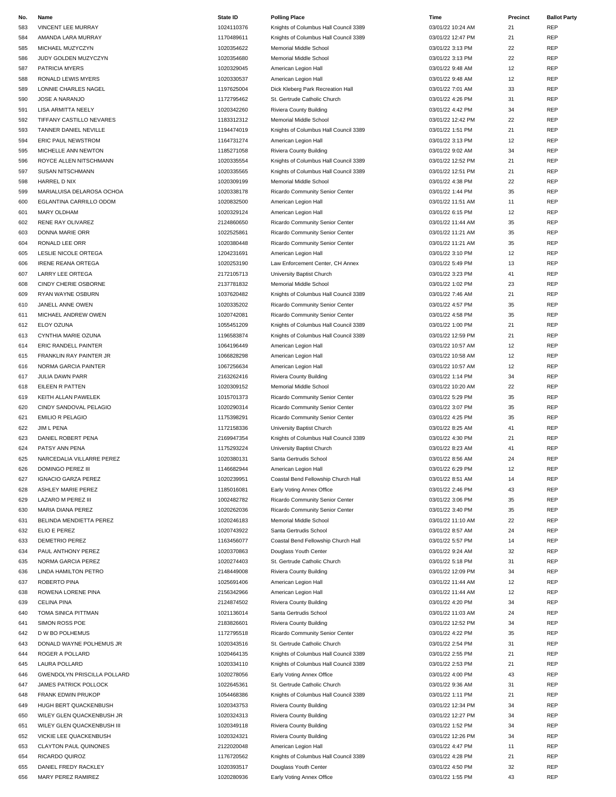| No. | Name                               | <b>State ID</b> | <b>Polling Place</b>                  | Time              | Precinct | <b>Ballot Party</b> |
|-----|------------------------------------|-----------------|---------------------------------------|-------------------|----------|---------------------|
| 583 | VINCENT LEE MURRAY                 | 1024110376      | Knights of Columbus Hall Council 3389 | 03/01/22 10:24 AM | 21       | REP                 |
| 584 | AMANDA LARA MURRAY                 | 1170489611      | Knights of Columbus Hall Council 3389 | 03/01/22 12:47 PM | 21       | <b>REP</b>          |
| 585 | MICHAEL MUZYCZYN                   | 1020354622      | Memorial Middle School                | 03/01/22 3:13 PM  | 22       | <b>REP</b>          |
| 586 | JUDY GOLDEN MUZYCZYN               | 1020354680      | Memorial Middle School                | 03/01/22 3:13 PM  | 22       | REP                 |
| 587 | <b>PATRICIA MYERS</b>              | 1020329045      | American Legion Hall                  | 03/01/22 9:48 AM  | 12       | REP                 |
| 588 | RONALD LEWIS MYERS                 | 1020330537      | American Legion Hall                  | 03/01/22 9:48 AM  | 12       | <b>REP</b>          |
| 589 | LONNIE CHARLES NAGEL               | 1197625004      | Dick Kleberg Park Recreation Hall     | 03/01/22 7:01 AM  | 33       | REP                 |
| 590 | JOSE A NARANJO                     | 1172795462      | St. Gertrude Catholic Church          | 03/01/22 4:26 PM  | 31       | REP                 |
|     |                                    |                 |                                       |                   |          |                     |
| 591 | LISA ARMITTA NEELY                 | 1020342260      | Riviera County Building               | 03/01/22 4:42 PM  | 34       | REP                 |
| 592 | TIFFANY CASTILLO NEVARES           | 1183312312      | Memorial Middle School                | 03/01/22 12:42 PM | 22       | <b>REP</b>          |
| 593 | TANNER DANIEL NEVILLE              | 1194474019      | Knights of Columbus Hall Council 3389 | 03/01/22 1:51 PM  | 21       | REP                 |
| 594 | <b>ERIC PAUL NEWSTROM</b>          | 1164731274      | American Legion Hall                  | 03/01/22 3:13 PM  | 12       | <b>REP</b>          |
| 595 | MICHELLE ANN NEWTON                | 1185271058      | Riviera County Building               | 03/01/22 9:02 AM  | 34       | REP                 |
| 596 | ROYCE ALLEN NITSCHMANN             | 1020335554      | Knights of Columbus Hall Council 3389 | 03/01/22 12:52 PM | 21       | REP                 |
| 597 | SUSAN NITSCHMANN                   | 1020335565      | Knights of Columbus Hall Council 3389 | 03/01/22 12:51 PM | 21       | REP                 |
| 598 | HARREL D NIX                       | 1020309199      | Memorial Middle School                | 03/01/22 4:38 PM  | 22       | REP                 |
| 599 | MARIALUISA DELAROSA OCHOA          | 1020338178      | Ricardo Community Senior Center       | 03/01/22 1:44 PM  | 35       | <b>REP</b>          |
| 600 | EGLANTINA CARRILLO ODOM            | 1020832500      | American Legion Hall                  | 03/01/22 11:51 AM | 11       | REP                 |
| 601 | <b>MARY OLDHAM</b>                 | 1020329124      | American Legion Hall                  | 03/01/22 6:15 PM  | 12       | REP                 |
| 602 | RENE RAY OLIVAREZ                  | 2124860650      | Ricardo Community Senior Center       | 03/01/22 11:44 AM | 35       | <b>REP</b>          |
| 603 | DONNA MARIE ORR                    | 1022525861      | Ricardo Community Senior Center       | 03/01/22 11:21 AM | 35       | <b>REP</b>          |
| 604 | RONALD LEE ORR                     | 1020380448      | Ricardo Community Senior Center       | 03/01/22 11:21 AM | 35       | REP                 |
| 605 | LESLIE NICOLE ORTEGA               | 1204231691      | American Legion Hall                  | 03/01/22 3:10 PM  | 12       | REP                 |
| 606 | <b>IRENE REANA ORTEGA</b>          | 1020253190      | Law Enforcement Center, CH Annex      | 03/01/22 5:49 PM  | 13       | REP                 |
|     | <b>LARRY LEE ORTEGA</b>            | 2172105713      | University Baptist Church             |                   | 41       | REP                 |
| 607 |                                    |                 |                                       | 03/01/22 3:23 PM  |          |                     |
| 608 | CINDY CHERIE OSBORNE               | 2137781832      | Memorial Middle School                | 03/01/22 1:02 PM  | 23       | REP                 |
| 609 | RYAN WAYNE OSBURN                  | 1037620482      | Knights of Columbus Hall Council 3389 | 03/01/22 7:46 AM  | 21       | <b>REP</b>          |
| 610 | JANELL ANNE OWEN                   | 1020335202      | Ricardo Community Senior Center       | 03/01/22 4:57 PM  | 35       | REP                 |
| 611 | MICHAEL ANDREW OWEN                | 1020742081      | Ricardo Community Senior Center       | 03/01/22 4:58 PM  | 35       | REP                 |
| 612 | ELOY OZUNA                         | 1055451209      | Knights of Columbus Hall Council 3389 | 03/01/22 1:00 PM  | 21       | <b>REP</b>          |
| 613 | CYNTHIA MARIE OZUNA                | 1196583874      | Knights of Columbus Hall Council 3389 | 03/01/22 12:59 PM | 21       | REP                 |
| 614 | ERIC RANDELL PAINTER               | 1064196449      | American Legion Hall                  | 03/01/22 10:57 AM | 12       | REP                 |
| 615 | FRANKLIN RAY PAINTER JR            | 1066828298      | American Legion Hall                  | 03/01/22 10:58 AM | 12       | REP                 |
| 616 | NORMA GARCIA PAINTER               | 1067256634      | American Legion Hall                  | 03/01/22 10:57 AM | 12       | REP                 |
| 617 | JULIA DAWN PARR                    | 2163262416      | Riviera County Building               | 03/01/22 1:14 PM  | 34       | REP                 |
| 618 | EILEEN R PATTEN                    | 1020309152      | Memorial Middle School                | 03/01/22 10:20 AM | 22       | REP                 |
| 619 | KEITH ALLAN PAWELEK                | 1015701373      | Ricardo Community Senior Center       | 03/01/22 5:29 PM  | 35       | <b>REP</b>          |
| 620 | CINDY SANDOVAL PELAGIO             | 1020290314      | Ricardo Community Senior Center       | 03/01/22 3:07 PM  | 35       | REP                 |
| 621 | <b>EMILIO R PELAGIO</b>            | 1175398291      | Ricardo Community Senior Center       | 03/01/22 4:25 PM  | 35       | REP                 |
| 622 | JIM L PENA                         | 1172158336      | University Baptist Church             | 03/01/22 8:25 AM  | 41       | REP                 |
| 623 | DANIEL ROBERT PENA                 | 2169947354      | Knights of Columbus Hall Council 3389 | 03/01/22 4:30 PM  | 21       | REP                 |
| 624 | PATSY ANN PENA                     | 1175293224      | University Baptist Church             | 03/01/22 8:23 AM  | 41       | REP                 |
| 625 | NARCEDALIA VILLARRE PEREZ          | 1020380131      | Santa Gertrudis School                | 03/01/22 8:56 AM  | 24       | REP                 |
| 626 | DOMINGO PEREZ III                  | 1146682944      | American Legion Hall                  | 03/01/22 6:29 PM  | 12       | REP                 |
| 627 | <b>IGNACIO GARZA PEREZ</b>         | 1020239951      | Coastal Bend Fellowship Church Hall   | 03/01/22 8:51 AM  | 14       | REP                 |
| 628 | <b>ASHLEY MARIE PEREZ</b>          | 1185016081      | Early Voting Annex Office             | 03/01/22 2:46 PM  | 43       | REP                 |
| 629 | LAZARO M PEREZ III                 | 1002482782      | Ricardo Community Senior Center       | 03/01/22 3:06 PM  | 35       | <b>REP</b>          |
|     |                                    |                 |                                       |                   |          |                     |
| 630 | MARIA DIANA PEREZ                  | 1020262036      | Ricardo Community Senior Center       | 03/01/22 3:40 PM  | 35       | REP                 |
| 631 | BELINDA MENDIETTA PEREZ            | 1020246183      | Memorial Middle School                | 03/01/22 11:10 AM | 22       | REP                 |
| 632 | ELIO E PEREZ                       | 1020743922      | Santa Gertrudis School                | 03/01/22 8:57 AM  | 24       | REP                 |
| 633 | DEMETRIO PEREZ                     | 1163456077      | Coastal Bend Fellowship Church Hall   | 03/01/22 5:57 PM  | 14       | REP                 |
| 634 | PAUL ANTHONY PEREZ                 | 1020370863      | Douglass Youth Center                 | 03/01/22 9:24 AM  | 32       | REP                 |
| 635 | NORMA GARCIA PEREZ                 | 1020274403      | St. Gertrude Catholic Church          | 03/01/22 5:18 PM  | 31       | REP                 |
| 636 | LINDA HAMILTON PETRO               | 2148449008      | Riviera County Building               | 03/01/22 12:09 PM | 34       | REP                 |
| 637 | ROBERTO PINA                       | 1025691406      | American Legion Hall                  | 03/01/22 11:44 AM | 12       | REP                 |
| 638 | ROWENA LORENE PINA                 | 2156342966      | American Legion Hall                  | 03/01/22 11:44 AM | 12       | REP                 |
| 639 | <b>CELINA PINA</b>                 | 2124874502      | Riviera County Building               | 03/01/22 4:20 PM  | 34       | <b>REP</b>          |
| 640 | TOMA SINICA PITTMAN                | 1021136014      | Santa Gertrudis School                | 03/01/22 11:03 AM | 24       | REP                 |
| 641 | SIMON ROSS POE                     | 2183826601      | Riviera County Building               | 03/01/22 12:52 PM | 34       | REP                 |
| 642 | D W BO POLHEMUS                    | 1172795518      | Ricardo Community Senior Center       | 03/01/22 4:22 PM  | 35       | <b>REP</b>          |
| 643 | DONALD WAYNE POLHEMUS JR           | 1020343516      | St. Gertrude Catholic Church          | 03/01/22 2:54 PM  | 31       | REP                 |
| 644 | ROGER A POLLARD                    | 1020464135      | Knights of Columbus Hall Council 3389 | 03/01/22 2:55 PM  | 21       | REP                 |
| 645 | LAURA POLLARD                      | 1020334110      | Knights of Columbus Hall Council 3389 | 03/01/22 2:53 PM  | 21       | REP                 |
| 646 | <b>GWENDOLYN PRISCILLA POLLARD</b> | 1020278056      | Early Voting Annex Office             | 03/01/22 4:00 PM  | 43       | REP                 |
| 647 | JAMES PATRICK POLLOCK              | 1022645361      | St. Gertrude Catholic Church          | 03/01/22 9:36 AM  | 31       | REP                 |
|     |                                    |                 |                                       |                   |          | REP                 |
| 648 | FRANK EDWIN PRUKOP                 | 1054468386      | Knights of Columbus Hall Council 3389 | 03/01/22 1:11 PM  | 21       |                     |
| 649 | HUGH BERT QUACKENBUSH              | 1020343753      | Riviera County Building               | 03/01/22 12:34 PM | 34       | <b>REP</b>          |
| 650 | WILEY GLEN QUACKENBUSH JR          | 1020324313      | Riviera County Building               | 03/01/22 12:27 PM | 34       | REP                 |
| 651 | WILEY GLEN QUACKENBUSH III         | 1020349118      | Riviera County Building               | 03/01/22 1:52 PM  | 34       | REP                 |
| 652 | VICKIE LEE QUACKENBUSH             | 1020324321      | Riviera County Building               | 03/01/22 12:26 PM | 34       | REP                 |
| 653 | <b>CLAYTON PAUL QUINONES</b>       | 2122020048      | American Legion Hall                  | 03/01/22 4:47 PM  | 11       | REP                 |
| 654 | RICARDO QUIROZ                     | 1176720562      | Knights of Columbus Hall Council 3389 | 03/01/22 4:28 PM  | 21       | REP                 |
| 655 | DANIEL FREDY RACKLEY               | 1020393517      | Douglass Youth Center                 | 03/01/22 4:50 PM  | 32       | REP                 |
| 656 | MARY PEREZ RAMIREZ                 | 1020280936      | Early Voting Annex Office             | 03/01/22 1:55 PM  | 43       | REP                 |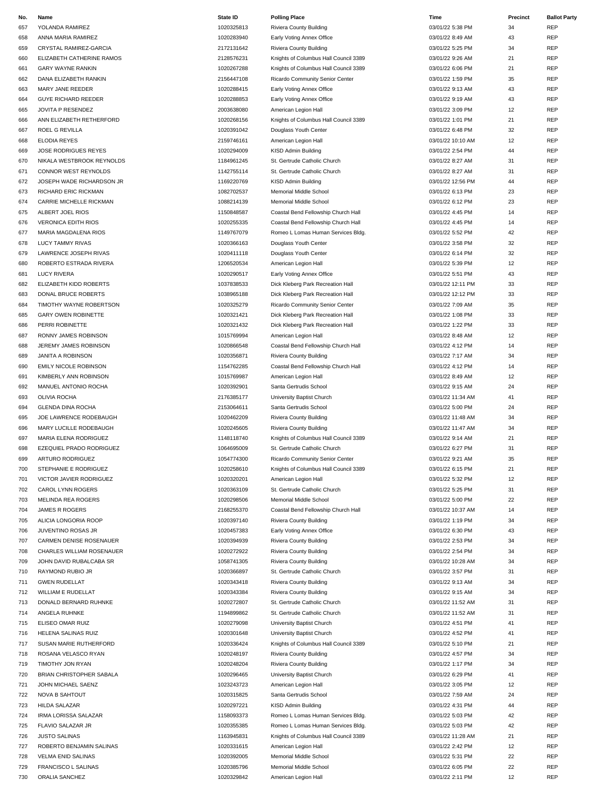| No. | Name                         | <b>State ID</b> | <b>Polling Place</b>                  | Time              | Precinct | <b>Ballot Party</b> |
|-----|------------------------------|-----------------|---------------------------------------|-------------------|----------|---------------------|
| 657 | YOLANDA RAMIREZ              | 1020325813      | Riviera County Building               | 03/01/22 5:38 PM  | 34       | <b>REP</b>          |
| 658 | ANNA MARIA RAMIREZ           | 1020283940      | Early Voting Annex Office             | 03/01/22 8:49 AM  | 43       | REP                 |
| 659 | CRYSTAL RAMIREZ-GARCIA       | 2172131642      | Riviera County Building               | 03/01/22 5:25 PM  | 34       | REP                 |
| 660 | ELIZABETH CATHERINE RAMOS    | 2128576231      | Knights of Columbus Hall Council 3389 | 03/01/22 9:26 AM  | 21       | REP                 |
| 661 | <b>GARY WAYNE RANKIN</b>     | 1020267288      | Knights of Columbus Hall Council 3389 | 03/01/22 6:06 PM  | 21       | <b>REP</b>          |
| 662 | DANA ELIZABETH RANKIN        | 2156447108      | Ricardo Community Senior Center       | 03/01/22 1:59 PM  | 35       | REP                 |
| 663 | MARY JANE REEDER             | 1020288415      | Early Voting Annex Office             | 03/01/22 9:13 AM  | 43       | <b>REP</b>          |
|     |                              |                 |                                       |                   |          |                     |
| 664 | <b>GUYE RICHARD REEDER</b>   | 1020288853      | Early Voting Annex Office             | 03/01/22 9:19 AM  | 43       | REP                 |
| 665 | JOVITA P RESENDEZ            | 2003638080      | American Legion Hall                  | 03/01/22 3:09 PM  | 12       | REP                 |
| 666 | ANN ELIZABETH RETHERFORD     | 1020268156      | Knights of Columbus Hall Council 3389 | 03/01/22 1:01 PM  | 21       | REP                 |
| 667 | ROEL G REVILLA               | 1020391042      | Douglass Youth Center                 | 03/01/22 6:48 PM  | 32       | REP                 |
| 668 | <b>ELODIA REYES</b>          | 2159746161      | American Legion Hall                  | 03/01/22 10:10 AM | 12       | <b>REP</b>          |
| 669 | JOSE RODRIGUES REYES         | 1020294009      | KISD Admin Building                   | 03/01/22 2:54 PM  | 44       | REP                 |
| 670 | NIKALA WESTBROOK REYNOLDS    | 1184961245      | St. Gertrude Catholic Church          | 03/01/22 8:27 AM  | 31       | REP                 |
| 671 | CONNOR WEST REYNOLDS         | 1142755114      | St. Gertrude Catholic Church          | 03/01/22 8:27 AM  | 31       | REP                 |
| 672 | JOSEPH WADE RICHARDSON JR    | 1169220769      | KISD Admin Building                   | 03/01/22 12:56 PM | 44       | <b>REP</b>          |
| 673 | RICHARD ERIC RICKMAN         | 1082702537      | Memorial Middle School                | 03/01/22 6:13 PM  | 23       | REP                 |
| 674 | CARRIE MICHELLE RICKMAN      | 1088214139      | Memorial Middle School                | 03/01/22 6:12 PM  | 23       | REP                 |
| 675 | ALBERT JOEL RIOS             | 1150848587      | Coastal Bend Fellowship Church Hall   | 03/01/22 4:45 PM  | 14       | REP                 |
| 676 | <b>VERONICA EDITH RIOS</b>   | 1020255335      | Coastal Bend Fellowship Church Hall   | 03/01/22 4:45 PM  | 14       | REP                 |
| 677 | MARIA MAGDALENA RIOS         | 1149767079      | Romeo L Lomas Human Services Bldg.    | 03/01/22 5:52 PM  | 42       | REP                 |
| 678 | <b>LUCY TAMMY RIVAS</b>      | 1020366163      | Douglass Youth Center                 | 03/01/22 3:58 PM  | 32       | <b>REP</b>          |
|     | LAWRENCE JOSEPH RIVAS        | 1020411118      |                                       | 03/01/22 6:14 PM  | 32       | REP                 |
| 679 |                              |                 | Douglass Youth Center                 |                   |          |                     |
| 680 | ROBERTO ESTRADA RIVERA       | 1206520534      | American Legion Hall                  | 03/01/22 5:39 PM  | 12       | REP                 |
| 681 | <b>LUCY RIVERA</b>           | 1020290517      | Early Voting Annex Office             | 03/01/22 5:51 PM  | 43       | <b>REP</b>          |
| 682 | ELIZABETH KIDD ROBERTS       | 1037838533      | Dick Kleberg Park Recreation Hall     | 03/01/22 12:11 PM | 33       | REP                 |
| 683 | DONAL BRUCE ROBERTS          | 1038965188      | Dick Kleberg Park Recreation Hall     | 03/01/22 12:12 PM | 33       | REP                 |
| 684 | TIMOTHY WAYNE ROBERTSON      | 1020325279      | Ricardo Community Senior Center       | 03/01/22 7:09 AM  | 35       | REP                 |
| 685 | <b>GARY OWEN ROBINETTE</b>   | 1020321421      | Dick Kleberg Park Recreation Hall     | 03/01/22 1:08 PM  | 33       | REP                 |
| 686 | PERRI ROBINETTE              | 1020321432      | Dick Kleberg Park Recreation Hall     | 03/01/22 1:22 PM  | 33       | REP                 |
| 687 | RONNY JAMES ROBINSON         | 1015769994      | American Legion Hall                  | 03/01/22 8:48 AM  | 12       | <b>REP</b>          |
| 688 | JEREMY JAMES ROBINSON        | 1020866548      | Coastal Bend Fellowship Church Hall   | 03/01/22 4:12 PM  | 14       | <b>REP</b>          |
| 689 | JANITA A ROBINSON            | 1020356871      | Riviera County Building               | 03/01/22 7:17 AM  | 34       | REP                 |
| 690 | <b>EMILY NICOLE ROBINSON</b> | 1154762285      | Coastal Bend Fellowship Church Hall   | 03/01/22 4:12 PM  | 14       | REP                 |
| 691 | KIMBERLY ANN ROBINSON        | 1015769987      | American Legion Hall                  | 03/01/22 8:49 AM  | 12       | <b>REP</b>          |
| 692 | MANUEL ANTONIO ROCHA         | 1020392901      | Santa Gertrudis School                | 03/01/22 9:15 AM  | 24       | REP                 |
|     |                              |                 |                                       |                   |          |                     |
| 693 | <b>OLIVIA ROCHA</b>          | 2176385177      | University Baptist Church             | 03/01/22 11:34 AM | 41       | <b>REP</b>          |
| 694 | <b>GLENDA DINA ROCHA</b>     | 2153064611      | Santa Gertrudis School                | 03/01/22 5:00 PM  | 24       | REP                 |
| 695 | JOE LAWRENCE RODEBAUGH       | 1020462209      | Riviera County Building               | 03/01/22 11:48 AM | 34       | REP                 |
| 696 | MARY LUCILLE RODEBAUGH       | 1020245605      | Riviera County Building               | 03/01/22 11:47 AM | 34       | REP                 |
| 697 | MARIA ELENA RODRIGUEZ        | 1148118740      | Knights of Columbus Hall Council 3389 | 03/01/22 9:14 AM  | 21       | REP                 |
| 698 | EZEQUIEL PRADO RODRIGUEZ     | 1064695009      | St. Gertrude Catholic Church          | 03/01/22 6:27 PM  | 31       | REP                 |
| 699 | ARTURO RODRIGUEZ             | 1054774300      | Ricardo Community Senior Center       | 03/01/22 9:21 AM  | 35       | <b>REP</b>          |
| 700 | STEPHANIE E RODRIGUEZ        | 1020258610      | Knights of Columbus Hall Council 3389 | 03/01/22 6:15 PM  | 21       | REP                 |
| 701 | VICTOR JAVIER RODRIGUEZ      | 1020320201      | American Legion Hall                  | 03/01/22 5:32 PM  | 12       | REP                 |
| 702 | CAROL LYNN ROGERS            | 1020363109      | St. Gertrude Catholic Church          | 03/01/22 5:25 PM  | 31       | REP                 |
| 703 | MELINDA REA ROGERS           | 1020298506      | Memorial Middle School                | 03/01/22 5:00 PM  | 22       | REP                 |
| 704 | <b>JAMES R ROGERS</b>        | 2168255370      | Coastal Bend Fellowship Church Hall   | 03/01/22 10:37 AM | 14       | REP                 |
| 705 | ALICIA LONGORIA ROOP         | 1020397140      | Riviera County Building               | 03/01/22 1:19 PM  | 34       | REP                 |
| 706 | JUVENTINO ROSAS JR           | 1020457383      | Early Voting Annex Office             | 03/01/22 6:30 PM  | 43       | REP                 |
| 707 | CARMEN DENISE ROSENAUER      | 1020394939      | Riviera County Building               | 03/01/22 2:53 PM  | 34       | REP                 |
|     |                              | 1020272922      |                                       |                   |          | <b>REP</b>          |
| 708 | CHARLES WILLIAM ROSENAUER    |                 | Riviera County Building               | 03/01/22 2:54 PM  | 34       |                     |
| 709 | JOHN DAVID RUBALCABA SR      | 1058741305      | Riviera County Building               | 03/01/22 10:28 AM | 34       | REP                 |
| 710 | RAYMOND RUBIO JR             | 1020366897      | St. Gertrude Catholic Church          | 03/01/22 3:57 PM  | 31       | REP                 |
| 711 | <b>GWEN RUDELLAT</b>         | 1020343418      | Riviera County Building               | 03/01/22 9:13 AM  | 34       | <b>REP</b>          |
| 712 | <b>WILLIAM E RUDELLAT</b>    | 1020343384      | Riviera County Building               | 03/01/22 9:15 AM  | 34       | REP                 |
| 713 | DONALD BERNARD RUHNKE        | 1020272807      | St. Gertrude Catholic Church          | 03/01/22 11:52 AM | 31       | REP                 |
| 714 | ANGELA RUHNKE                | 1194899862      | St. Gertrude Catholic Church          | 03/01/22 11:52 AM | 31       | REP                 |
| 715 | ELISEO OMAR RUIZ             | 1020279098      | University Baptist Church             | 03/01/22 4:51 PM  | 41       | REP                 |
| 716 | HELENA SALINAS RUIZ          | 1020301648      | University Baptist Church             | 03/01/22 4:52 PM  | 41       | REP                 |
| 717 | SUSAN MARIE RUTHERFORD       | 1020336424      | Knights of Columbus Hall Council 3389 | 03/01/22 5:10 PM  | 21       | REP                 |
| 718 | ROSANA VELASCO RYAN          | 1020248197      | Riviera County Building               | 03/01/22 4:57 PM  | 34       | <b>REP</b>          |
| 719 | TIMOTHY JON RYAN             | 1020248204      | Riviera County Building               | 03/01/22 1:17 PM  | 34       | REP                 |
| 720 | BRIAN CHRISTOPHER SABALA     | 1020296465      | University Baptist Church             | 03/01/22 6:29 PM  | 41       | REP                 |
| 721 | JOHN MICHAEL SAENZ           | 1023243723      | American Legion Hall                  | 03/01/22 3:05 PM  | 12       | REP                 |
|     |                              |                 |                                       |                   |          |                     |
| 722 | NOVA B SAHTOUT               | 1020315825      | Santa Gertrudis School                | 03/01/22 7:59 AM  | 24       | REP                 |
| 723 | <b>HILDA SALAZAR</b>         | 1020297221      | KISD Admin Building                   | 03/01/22 4:31 PM  | 44       | REP                 |
| 724 | IRMA LORISSA SALAZAR         | 1158093373      | Romeo L Lomas Human Services Bldg.    | 03/01/22 5:03 PM  | 42       | REP                 |
| 725 | FLAVIO SALAZAR JR            | 1020355385      | Romeo L Lomas Human Services Bldg.    | 03/01/22 5:03 PM  | 42       | REP                 |
| 726 | <b>JUSTO SALINAS</b>         | 1163945831      | Knights of Columbus Hall Council 3389 | 03/01/22 11:28 AM | 21       | REP                 |
| 727 | ROBERTO BENJAMIN SALINAS     | 1020331615      | American Legion Hall                  | 03/01/22 2:42 PM  | 12       | REP                 |
| 728 | <b>VELMA ENID SALINAS</b>    | 1020392005      | Memorial Middle School                | 03/01/22 5:31 PM  | 22       | REP                 |
| 729 | FRANCISCO L SALINAS          | 1020385796      | Memorial Middle School                | 03/01/22 6:05 PM  | 22       | REP                 |
| 730 | ORALIA SANCHEZ               | 1020329842      | American Legion Hall                  | 03/01/22 2:11 PM  | 12       | REP                 |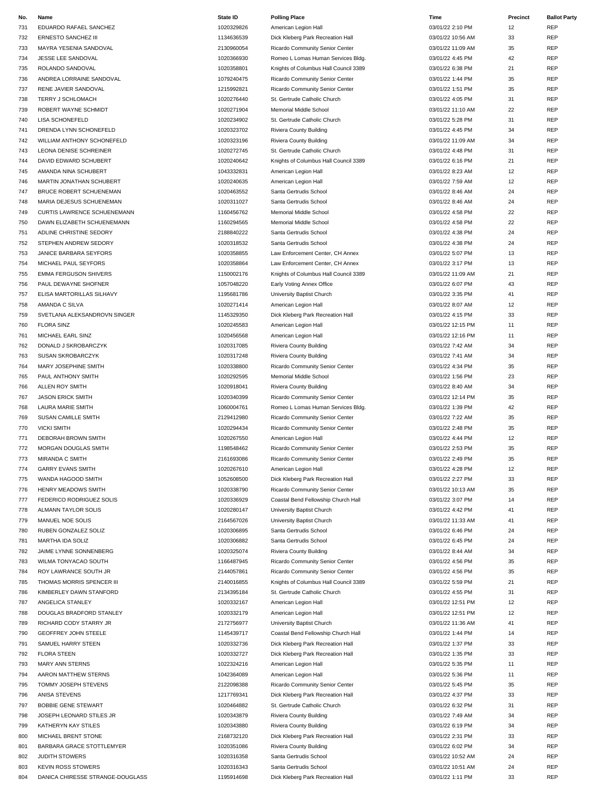| No. | Name                             | <b>State ID</b> | <b>Polling Place</b>                  | Time              | Precinct | <b>Ballot Party</b> |
|-----|----------------------------------|-----------------|---------------------------------------|-------------------|----------|---------------------|
| 731 | EDUARDO RAFAEL SANCHEZ           | 1020329826      | American Legion Hall                  | 03/01/22 2:10 PM  | 12       | <b>REP</b>          |
| 732 | <b>ERNESTO SANCHEZ III</b>       | 1134636539      | Dick Kleberg Park Recreation Hall     | 03/01/22 10:56 AM | 33       | <b>REP</b>          |
| 733 | MAYRA YESENIA SANDOVAL           | 2130960054      | Ricardo Community Senior Center       | 03/01/22 11:09 AM | 35       | REP                 |
| 734 | JESSE LEE SANDOVAL               | 1020366930      | Romeo L Lomas Human Services Bldg.    | 03/01/22 4:45 PM  | 42       | REP                 |
| 735 | ROLANDO SANDOVAL                 | 1020358801      | Knights of Columbus Hall Council 3389 | 03/01/22 6:38 PM  | 21       | <b>REP</b>          |
|     |                                  | 1079240475      |                                       | 03/01/22 1:44 PM  | 35       | REP                 |
| 736 | ANDREA LORRAINE SANDOVAL         |                 | Ricardo Community Senior Center       |                   |          | <b>REP</b>          |
| 737 | RENE JAVIER SANDOVAL             | 1215992821      | Ricardo Community Senior Center       | 03/01/22 1:51 PM  | 35       |                     |
| 738 | TERRY J SCHLOMACH                | 1020276440      | St. Gertrude Catholic Church          | 03/01/22 4:05 PM  | 31       | REP                 |
| 739 | ROBERT WAYNE SCHMIDT             | 1020271904      | Memorial Middle School                | 03/01/22 11:10 AM | 22       | REP                 |
| 740 | LISA SCHONEFELD                  | 1020234902      | St. Gertrude Catholic Church          | 03/01/22 5:28 PM  | 31       | REP                 |
| 741 | DRENDA LYNN SCHONEFELD           | 1020323702      | Riviera County Building               | 03/01/22 4:45 PM  | 34       | REP                 |
| 742 | WILLIAM ANTHONY SCHONEFELD       | 1020323196      | Riviera County Building               | 03/01/22 11:09 AM | 34       | <b>REP</b>          |
| 743 | <b>LEONA DENISE SCHREINER</b>    | 1020272745      | St. Gertrude Catholic Church          | 03/01/22 4:48 PM  | 31       | REP                 |
| 744 | DAVID EDWARD SCHUBERT            | 1020240642      | Knights of Columbus Hall Council 3389 | 03/01/22 6:16 PM  | 21       | REP                 |
| 745 | AMANDA NINA SCHUBERT             | 1043332831      | American Legion Hall                  | 03/01/22 8:23 AM  | 12       | REP                 |
| 746 | MARTIN JONATHAN SCHUBERT         | 1020240635      | American Legion Hall                  | 03/01/22 7:59 AM  | 12       | <b>REP</b>          |
| 747 | <b>BRUCE ROBERT SCHUENEMAN</b>   | 1020463552      | Santa Gertrudis School                | 03/01/22 8:46 AM  | 24       | REP                 |
| 748 | MARIA DEJESUS SCHUENEMAN         | 1020311027      | Santa Gertrudis School                | 03/01/22 8:46 AM  | 24       | REP                 |
| 749 | CURTIS LAWRENCE SCHUENEMANN      | 1160456762      | Memorial Middle School                | 03/01/22 4:58 PM  | 22       | REP                 |
| 750 | DAWN ELIZABETH SCHUENEMANN       | 1160294565      | <b>Memorial Middle School</b>         | 03/01/22 4:58 PM  | 22       | REP                 |
| 751 | ADLINE CHRISTINE SEDORY          | 2188840222      | Santa Gertrudis School                | 03/01/22 4:38 PM  | 24       | REP                 |
|     |                                  | 1020318532      |                                       |                   |          | <b>REP</b>          |
| 752 | STEPHEN ANDREW SEDORY            |                 | Santa Gertrudis School                | 03/01/22 4:38 PM  | 24       |                     |
| 753 | JANICE BARBARA SEYFORS           | 1020358855      | Law Enforcement Center, CH Annex      | 03/01/22 5:07 PM  | 13       | REP                 |
| 754 | MICHAEL PAUL SEYFORS             | 1020358864      | Law Enforcement Center, CH Annex      | 03/01/22 3:17 PM  | 13       | REP                 |
| 755 | <b>EMMA FERGUSON SHIVERS</b>     | 1150002176      | Knights of Columbus Hall Council 3389 | 03/01/22 11:09 AM | 21       | <b>REP</b>          |
| 756 | PAUL DEWAYNE SHOFNER             | 1057048220      | Early Voting Annex Office             | 03/01/22 6:07 PM  | 43       | <b>REP</b>          |
| 757 | ELISA MARTORILLAS SILHAVY        | 1195681786      | University Baptist Church             | 03/01/22 3:35 PM  | 41       | REP                 |
| 758 | AMANDA C SILVA                   | 1020271414      | American Legion Hall                  | 03/01/22 8:07 AM  | 12       | REP                 |
| 759 | SVETLANA ALEKSANDROVN SINGER     | 1145329350      | Dick Kleberg Park Recreation Hall     | 03/01/22 4:15 PM  | 33       | REP                 |
| 760 | <b>FLORA SINZ</b>                | 1020245583      | American Legion Hall                  | 03/01/22 12:15 PM | 11       | REP                 |
| 761 | MICHAEL EARL SINZ                | 1020456568      | American Legion Hall                  | 03/01/22 12:16 PM | 11       | <b>REP</b>          |
| 762 | DONALD J SKROBARCZYK             | 1020317085      | Riviera County Building               | 03/01/22 7:42 AM  | 34       | <b>REP</b>          |
| 763 | SUSAN SKROBARCZYK                | 1020317248      | Riviera County Building               | 03/01/22 7:41 AM  | 34       | REP                 |
| 764 | MARY JOSEPHINE SMITH             | 1020338800      | Ricardo Community Senior Center       | 03/01/22 4:34 PM  | 35       | REP                 |
| 765 | PAUL ANTHONY SMITH               | 1020292595      | Memorial Middle School                | 03/01/22 1:56 PM  | 23       | <b>REP</b>          |
|     |                                  |                 |                                       |                   |          |                     |
| 766 | ALLEN ROY SMITH                  | 1020918041      | Riviera County Building               | 03/01/22 8:40 AM  | 34       | REP                 |
| 767 | <b>JASON ERICK SMITH</b>         | 1020340399      | Ricardo Community Senior Center       | 03/01/22 12:14 PM | 35       | <b>REP</b>          |
| 768 | <b>LAURA MARIE SMITH</b>         | 1060004761      | Romeo L Lomas Human Services Bldg.    | 03/01/22 1:39 PM  | 42       | REP                 |
| 769 | SUSAN CAMILLE SMITH              | 2129412980      | Ricardo Community Senior Center       | 03/01/22 7:22 AM  | 35       | REP                 |
| 770 | <b>VICKI SMITH</b>               | 1020294434      | Ricardo Community Senior Center       | 03/01/22 2:48 PM  | 35       | REP                 |
| 771 | DEBORAH BROWN SMITH              | 1020267550      | American Legion Hall                  | 03/01/22 4:44 PM  | 12       | REP                 |
| 772 | MORGAN DOUGLAS SMITH             | 1198548462      | Ricardo Community Senior Center       | 03/01/22 2:53 PM  | 35       | REP                 |
| 773 | <b>MIRANDA C SMITH</b>           | 2161693086      | Ricardo Community Senior Center       | 03/01/22 2:49 PM  | 35       | <b>REP</b>          |
| 774 | <b>GARRY EVANS SMITH</b>         | 1020267610      | American Legion Hall                  | 03/01/22 4:28 PM  | 12       | REP                 |
| 775 | WANDA HAGOOD SMITH               | 1052608500      | Dick Kleberg Park Recreation Hall     | 03/01/22 2:27 PM  | 33       | REP                 |
| 776 | HENRY MEADOWS SMITH              | 1020338790      | Ricardo Community Senior Center       | 03/01/22 10:13 AM | 35       | REP                 |
| 777 | FEDERICO RODRIGUEZ SOLIS         | 1020336929      | Coastal Bend Fellowship Church Hall   | 03/01/22 3:07 PM  | 14       | REP                 |
| 778 | ALMANN TAYLOR SOLIS              | 1020280147      | University Baptist Church             | 03/01/22 4:42 PM  | 41       | REP                 |
| 779 | MANUEL NOE SOLIS                 | 2164567026      | University Baptist Church             | 03/01/22 11:33 AM | 41       | REP                 |
| 780 | RUBEN GONZALEZ SOLIZ             | 1020306895      | Santa Gertrudis School                | 03/01/22 6:46 PM  | 24       | REP                 |
| 781 | MARTHA IDA SOLIZ                 | 1020306882      | Santa Gertrudis School                | 03/01/22 6:45 PM  | 24       | <b>REP</b>          |
|     |                                  | 1020325074      |                                       | 03/01/22 8:44 AM  | 34       | <b>REP</b>          |
| 782 | JAIME LYNNE SONNENBERG           |                 | Riviera County Building               |                   |          |                     |
| 783 | WILMA TONYACAO SOUTH             | 1166487945      | Ricardo Community Senior Center       | 03/01/22 4:56 PM  | 35       | REP                 |
| 784 | ROY LAWRANCE SOUTH JR            | 2144057861      | Ricardo Community Senior Center       | 03/01/22 4:56 PM  | 35       | REP                 |
| 785 | THOMAS MORRIS SPENCER III        | 2140016855      | Knights of Columbus Hall Council 3389 | 03/01/22 5:59 PM  | 21       | <b>REP</b>          |
| 786 | KIMBERLEY DAWN STANFORD          | 2134395184      | St. Gertrude Catholic Church          | 03/01/22 4:55 PM  | 31       | REP                 |
| 787 | ANGELICA STANLEY                 | 1020332167      | American Legion Hall                  | 03/01/22 12:51 PM | 12       | REP                 |
| 788 | DOUGLAS BRADFORD STANLEY         | 1020332179      | American Legion Hall                  | 03/01/22 12:51 PM | 12       | REP                 |
| 789 | RICHARD CODY STARRY JR           | 2172756977      | University Baptist Church             | 03/01/22 11:36 AM | 41       | REP                 |
| 790 | GEOFFREY JOHN STEELE             | 1145439717      | Coastal Bend Fellowship Church Hall   | 03/01/22 1:44 PM  | 14       | REP                 |
| 791 | SAMUEL HARRY STEEN               | 1020332736      | Dick Kleberg Park Recreation Hall     | 03/01/22 1:37 PM  | 33       | REP                 |
| 792 | <b>FLORA STEEN</b>               | 1020332727      | Dick Kleberg Park Recreation Hall     | 03/01/22 1:35 PM  | 33       | <b>REP</b>          |
| 793 | MARY ANN STERNS                  | 1022324216      | American Legion Hall                  | 03/01/22 5:35 PM  | 11       | REP                 |
| 794 | AARON MATTHEW STERNS             | 1042364089      | American Legion Hall                  | 03/01/22 5:36 PM  | 11       | REP                 |
| 795 | TOMMY JOSEPH STEVENS             | 2122098388      | Ricardo Community Senior Center       | 03/01/22 5:45 PM  | 35       | <b>REP</b>          |
| 796 | ANISA STEVENS                    | 1217769341      | Dick Kleberg Park Recreation Hall     | 03/01/22 4:37 PM  | 33       | REP                 |
|     |                                  |                 |                                       |                   |          |                     |
| 797 | <b>BOBBIE GENE STEWART</b>       | 1020464882      | St. Gertrude Catholic Church          | 03/01/22 6:32 PM  | 31       | REP                 |
| 798 | JOSEPH LEONARD STILES JR         | 1020343879      | Riviera County Building               | 03/01/22 7:49 AM  | 34       | REP                 |
| 799 | KATHERYN KAY STILES              | 1020343880      | Riviera County Building               | 03/01/22 6:19 PM  | 34       | REP                 |
| 800 | MICHAEL BRENT STONE              | 2168732120      | Dick Kleberg Park Recreation Hall     | 03/01/22 2:31 PM  | 33       | REP                 |
| 801 | BARBARA GRACE STOTTLEMYER        | 1020351086      | Riviera County Building               | 03/01/22 6:02 PM  | 34       | REP                 |
| 802 | JUDITH STOWERS                   | 1020316358      | Santa Gertrudis School                | 03/01/22 10:52 AM | 24       | REP                 |
| 803 | <b>KEVIN ROSS STOWERS</b>        | 1020316343      | Santa Gertrudis School                | 03/01/22 10:51 AM | 24       | REP                 |
| 804 | DANICA CHIRESSE STRANGE-DOUGLASS | 1195914698      | Dick Kleberg Park Recreation Hall     | 03/01/22 1:11 PM  | 33       | REP                 |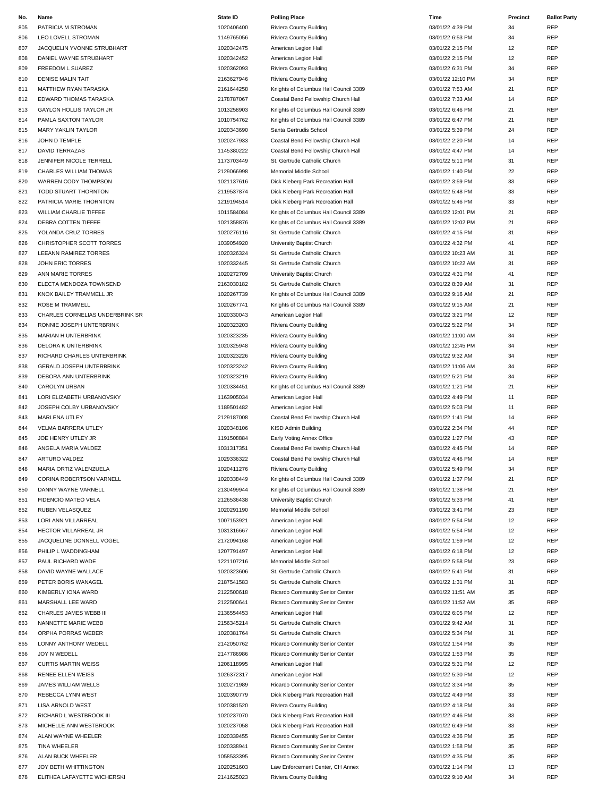| No. | Name                            | <b>State ID</b> | <b>Polling Place</b>                  | Time              | Precinct | <b>Ballot Party</b> |
|-----|---------------------------------|-----------------|---------------------------------------|-------------------|----------|---------------------|
| 805 | PATRICIA M STROMAN              | 1020406400      | Riviera County Building               | 03/01/22 4:39 PM  | 34       | REP                 |
| 806 | LEO LOVELL STROMAN              | 1149765056      | Riviera County Building               | 03/01/22 6:53 PM  | 34       | REP                 |
| 807 | JACQUELIN YVONNE STRUBHART      | 1020342475      | American Legion Hall                  | 03/01/22 2:15 PM  | 12       | REP                 |
| 808 | DANIEL WAYNE STRUBHART          | 1020342452      | American Legion Hall                  | 03/01/22 2:15 PM  | 12       | <b>REP</b>          |
|     |                                 |                 |                                       |                   |          |                     |
| 809 | FREEDOM L SUAREZ                | 1020362093      | Riviera County Building               | 03/01/22 6:31 PM  | 34       | REP                 |
| 810 | <b>DENISE MALIN TAIT</b>        | 2163627946      | Riviera County Building               | 03/01/22 12:10 PM | 34       | REP                 |
| 811 | MATTHEW RYAN TARASKA            | 2161644258      | Knights of Columbus Hall Council 3389 | 03/01/22 7:53 AM  | 21       | <b>REP</b>          |
| 812 | EDWARD THOMAS TARASKA           | 2178787067      | Coastal Bend Fellowship Church Hall   | 03/01/22 7:33 AM  | 14       | REP                 |
| 813 | GAYLON HOLLIS TAYLOR JR         | 1013258903      | Knights of Columbus Hall Council 3389 | 03/01/22 6:46 PM  | 21       | REP                 |
| 814 | PAMLA SAXTON TAYLOR             | 1010754762      | Knights of Columbus Hall Council 3389 | 03/01/22 6:47 PM  | 21       | <b>REP</b>          |
| 815 | <b>MARY YAKLIN TAYLOR</b>       | 1020343690      | Santa Gertrudis School                | 03/01/22 5:39 PM  | 24       | REP                 |
| 816 | JOHN D TEMPLE                   | 1020247933      | Coastal Bend Fellowship Church Hall   | 03/01/22 2:20 PM  | 14       | REP                 |
| 817 | <b>DAVID TERRAZAS</b>           | 1145380222      | Coastal Bend Fellowship Church Hall   | 03/01/22 4:47 PM  | 14       | REP                 |
| 818 | JENNIFER NICOLE TERRELL         | 1173703449      | St. Gertrude Catholic Church          | 03/01/22 5:11 PM  | 31       | <b>REP</b>          |
|     |                                 |                 |                                       |                   |          |                     |
| 819 | CHARLES WILLIAM THOMAS          | 2129066998      | Memorial Middle School                | 03/01/22 1:40 PM  | 22       | REP                 |
| 820 | WARREN CODY THOMPSON            | 1021137616      | Dick Kleberg Park Recreation Hall     | 03/01/22 3:59 PM  | 33       | REP                 |
| 821 | TODD STUART THORNTON            | 2119537874      | Dick Kleberg Park Recreation Hall     | 03/01/22 5:48 PM  | 33       | <b>REP</b>          |
| 822 | PATRICIA MARIE THORNTON         | 1219194514      | Dick Kleberg Park Recreation Hall     | 03/01/22 5:46 PM  | 33       | REP                 |
| 823 | WILLIAM CHARLIE TIFFEE          | 1011584084      | Knights of Columbus Hall Council 3389 | 03/01/22 12:01 PM | 21       | REP                 |
| 824 | DEBRA COTTEN TIFFEE             | 1021358876      | Knights of Columbus Hall Council 3389 | 03/01/22 12:02 PM | 21       | REP                 |
| 825 | YOLANDA CRUZ TORRES             | 1020276116      | St. Gertrude Catholic Church          | 03/01/22 4:15 PM  | 31       | <b>REP</b>          |
| 826 | CHRISTOPHER SCOTT TORRES        | 1039054920      | University Baptist Church             | 03/01/22 4:32 PM  | 41       | REP                 |
| 827 | LEEANN RAMIREZ TORRES           | 1020326324      | St. Gertrude Catholic Church          | 03/01/22 10:23 AM | 31       | REP                 |
| 828 | JOHN ERIC TORRES                | 1020332445      | St. Gertrude Catholic Church          | 03/01/22 10:22 AM | 31       | REP                 |
| 829 | ANN MARIE TORRES                | 1020272709      | University Baptist Church             | 03/01/22 4:31 PM  | 41       | <b>REP</b>          |
|     |                                 |                 |                                       |                   |          |                     |
| 830 | ELECTA MENDOZA TOWNSEND         | 2163030182      | St. Gertrude Catholic Church          | 03/01/22 8:39 AM  | 31       | REP                 |
| 831 | KNOX BAILEY TRAMMELL JR         | 1020267739      | Knights of Columbus Hall Council 3389 | 03/01/22 9:16 AM  | 21       | REP                 |
| 832 | <b>ROSE M TRAMMELL</b>          | 1020267741      | Knights of Columbus Hall Council 3389 | 03/01/22 9:15 AM  | 21       | REP                 |
| 833 | CHARLES CORNELIAS UNDERBRINK SR | 1020330043      | American Legion Hall                  | 03/01/22 3:21 PM  | 12       | REP                 |
| 834 | RONNIE JOSEPH UNTERBRINK        | 1020323203      | Riviera County Building               | 03/01/22 5:22 PM  | 34       | REP                 |
| 835 | MARIAN H UNTERBRINK             | 1020323235      | Riviera County Building               | 03/01/22 11:00 AM | 34       | <b>REP</b>          |
| 836 | DELORA K UNTERBRINK             | 1020325948      | Riviera County Building               | 03/01/22 12:45 PM | 34       | REP                 |
| 837 | RICHARD CHARLES UNTERBRINK      | 1020323226      | Riviera County Building               | 03/01/22 9:32 AM  | 34       | REP                 |
| 838 | <b>GERALD JOSEPH UNTERBRINK</b> | 1020323242      | Riviera County Building               | 03/01/22 11:06 AM | 34       | <b>REP</b>          |
| 839 | DEBORA ANN UNTERBRINK           | 1020323219      |                                       | 03/01/22 5:21 PM  | 34       | REP                 |
|     |                                 |                 | Riviera County Building               |                   |          |                     |
| 840 | CAROLYN URBAN                   | 1020334451      | Knights of Columbus Hall Council 3389 | 03/01/22 1:21 PM  | 21       | REP                 |
| 841 | LORI ELIZABETH URBANOVSKY       | 1163905034      | American Legion Hall                  | 03/01/22 4:49 PM  | 11       | <b>REP</b>          |
| 842 | JOSEPH COLBY URBANOVSKY         | 1189501482      | American Legion Hall                  | 03/01/22 5:03 PM  | 11       | REP                 |
| 843 | <b>MARLENA UTLEY</b>            | 2129187008      | Coastal Bend Fellowship Church Hall   | 03/01/22 1:41 PM  | 14       | REP                 |
| 844 | VELMA BARRERA UTLEY             | 1020348106      | KISD Admin Building                   | 03/01/22 2:34 PM  | 44       | REP                 |
| 845 | JOE HENRY UTLEY JR              | 1191508884      | Early Voting Annex Office             | 03/01/22 1:27 PM  | 43       | REP                 |
| 846 | ANGELA MARIA VALDEZ             | 1031317351      | Coastal Bend Fellowship Church Hall   | 03/01/22 4:45 PM  | 14       | REP                 |
| 847 | ARTURO VALDEZ                   | 1029336322      | Coastal Bend Fellowship Church Hall   | 03/01/22 4:46 PM  | 14       | REP                 |
| 848 | MARIA ORTIZ VALENZUELA          | 1020411276      | Riviera County Building               | 03/01/22 5:49 PM  | 34       | REP                 |
| 849 | CORINA ROBERTSON VARNELL        | 1020338449      | Knights of Columbus Hall Council 3389 | 03/01/22 1:37 PM  | 21       | REP                 |
|     |                                 |                 |                                       |                   |          |                     |
| 850 | DANNY WAYNE VARNELL             | 2130499944      | Knights of Columbus Hall Council 3389 | 03/01/22 1:38 PM  | 21       | <b>REP</b>          |
| 851 | FIDENCIO MATEO VELA             | 2126536438      | University Baptist Church             | 03/01/22 5:33 PM  | 41       | REP                 |
| 852 | RUBEN VELASQUEZ                 | 1020291190      | Memorial Middle School                | 03/01/22 3:41 PM  | 23       | REP                 |
| 853 | LORI ANN VILLARREAL             | 1007153921      | American Legion Hall                  | 03/01/22 5:54 PM  | 12       | REP                 |
| 854 | HECTOR VILLARREAL JR            | 1031316667      | American Legion Hall                  | 03/01/22 5:54 PM  | 12       | REP                 |
| 855 | JACQUELINE DONNELL VOGEL        | 2172094168      | American Legion Hall                  | 03/01/22 1:59 PM  | 12       | REP                 |
| 856 | PHILIP L WADDINGHAM             | 1207791497      | American Legion Hall                  | 03/01/22 6:18 PM  | 12       | REP                 |
| 857 | PAUL RICHARD WADE               | 1221107216      | Memorial Middle School                | 03/01/22 5:58 PM  | 23       | REP                 |
| 858 | DAVID WAYNE WALLACE             | 1020323606      | St. Gertrude Catholic Church          | 03/01/22 5:41 PM  | 31       | REP                 |
| 859 | PETER BORIS WANAGEL             | 2187541583      | St. Gertrude Catholic Church          | 03/01/22 1:31 PM  | 31       | REP                 |
| 860 | KIMBERLY IONA WARD              | 2122500618      | Ricardo Community Senior Center       | 03/01/22 11:51 AM | 35       | REP                 |
|     |                                 |                 |                                       |                   |          | REP                 |
| 861 | MARSHALL LEE WARD               | 2122500641      | Ricardo Community Senior Center       | 03/01/22 11:52 AM | 35       |                     |
| 862 | CHARLES JAMES WEBB III          | 2136554453      | American Legion Hall                  | 03/01/22 6:05 PM  | 12       | REP                 |
| 863 | NANNETTE MARIE WEBB             | 2156345214      | St. Gertrude Catholic Church          | 03/01/22 9:42 AM  | 31       | REP                 |
| 864 | ORPHA PORRAS WEBER              | 1020381764      | St. Gertrude Catholic Church          | 03/01/22 5:34 PM  | 31       | REP                 |
| 865 | LONNY ANTHONY WEDELL            | 2142050762      | Ricardo Community Senior Center       | 03/01/22 1:54 PM  | 35       | <b>REP</b>          |
| 866 | JOY N WEDELL                    | 2147786986      | Ricardo Community Senior Center       | 03/01/22 1:53 PM  | 35       | REP                 |
| 867 | <b>CURTIS MARTIN WEISS</b>      | 1206118995      | American Legion Hall                  | 03/01/22 5:31 PM  | 12       | REP                 |
| 868 | <b>RENEE ELLEN WEISS</b>        | 1026372317      | American Legion Hall                  | 03/01/22 5:30 PM  | 12       | REP                 |
| 869 | JAMES WILLIAM WELLS             | 1020271989      | Ricardo Community Senior Center       | 03/01/22 3:34 PM  | 35       | REP                 |
| 870 | REBECCA LYNN WEST               | 1020390779      | Dick Kleberg Park Recreation Hall     | 03/01/22 4:49 PM  | 33       | REP                 |
| 871 | <b>LISA ARNOLD WEST</b>         | 1020381520      | Riviera County Building               | 03/01/22 4:18 PM  | 34       | REP                 |
|     |                                 |                 |                                       |                   |          |                     |
| 872 | RICHARD L WESTBROOK III         | 1020237070      | Dick Kleberg Park Recreation Hall     | 03/01/22 4:46 PM  | 33       | REP                 |
| 873 | MICHELLE ANN WESTBROOK          | 1020237058      | Dick Kleberg Park Recreation Hall     | 03/01/22 6:49 PM  | 33       | REP                 |
| 874 | ALAN WAYNE WHEELER              | 1020339455      | Ricardo Community Senior Center       | 03/01/22 4:36 PM  | 35       | REP                 |
| 875 | TINA WHEELER                    | 1020338941      | Ricardo Community Senior Center       | 03/01/22 1:58 PM  | 35       | <b>REP</b>          |
| 876 | ALAN BUCK WHEELER               | 1058533395      | Ricardo Community Senior Center       | 03/01/22 4:35 PM  | 35       | REP                 |
| 877 | JOY BETH WHITTINGTON            | 1020251603      | Law Enforcement Center, CH Annex      | 03/01/22 1:14 PM  | 13       | REP                 |
| 878 | ELITHEA LAFAYETTE WICHERSKI     | 2141625023      | Riviera County Building               | 03/01/22 9:10 AM  | 34       | <b>REP</b>          |